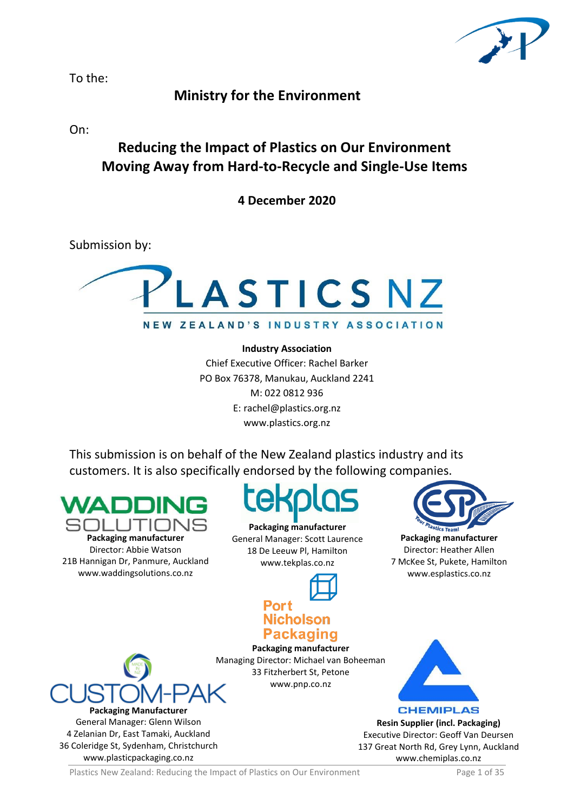

To the:

# **Ministry for the Environment**

On:

# **Reducing the Impact of Plastics on Our Environment Moving Away from Hard-to-Recycle and Single-Use Items**

**4 December 2020**

Submission by:



# **Industry Association**

Chief Executive Officer: Rachel Barker PO Box 76378, Manukau, Auckland 2241 M: 022 0812 936 E: rachel@plastics.org.nz www.plastics.org.nz

This submission is on behalf of the New Zealand plastics industry and its customers. It is also specifically endorsed by the following companies.

**Packaging manufacturer**

Director: Abbie Watson 21B Hannigan Dr, Panmure, Auckland [www.waddingsolutions.co.nz](http://www.waddingsolutions.co.nz/)

**Packaging manufacturer** General Manager: Scott Laurence 18 De Leeuw Pl, Hamilton www.tekplas.co.nz



# **Nicholson Packaging**

**Packaging manufacturer** Managing Director: Michael van Boheeman 33 Fitzherbert St, Petone www.pnp.co.nz



Director: Heather Allen 7 McKee St, Pukete, Hamilton www.esplastics.co.nz



**Resin Supplier (incl. Packaging)** Executive Director: Geoff Van Deursen 137 Great North Rd, Grey Lynn, Auckland www.chemiplas.co.nz



**Packaging Manufacturer** General Manager: Glenn Wilson 4 Zelanian Dr, East Tamaki, Auckland 36 Coleridge St, Sydenham, Christchurch [www.plasticpackaging.co.nz](http://www.plasticpackaging.co.nz/)

Plastics New Zealand: Reducing the Impact of Plastics on Our Environment Page 1 of 35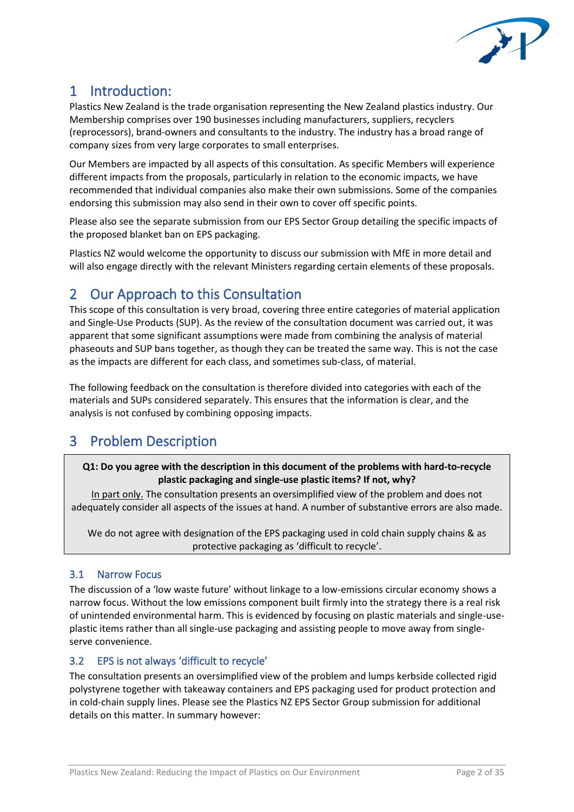

# 1 Introduction:

Plastics New Zealand is the trade organisation representing the New Zealand plastics industry. Our Membership comprises over 190 businesses including manufacturers, suppliers, recyclers (reprocessors), brand-owners and consultants to the industry. The industry has a broad range of company sizes from very large corporates to small enterprises.

Our Members are impacted by all aspects of this consultation. As specific Members will experience different impacts from the proposals, particularly in relation to the economic impacts, we have recommended that individual companies also make their own submissions. Some of the companies endorsing this submission may also send in their own to cover off specific points.

Please also see the separate submission from our EPS Sector Group detailing the specific impacts of the proposed blanket ban on EPS packaging.

Plastics NZ would welcome the opportunity to discuss our submission with MfE in more detail and will also engage directly with the relevant Ministers regarding certain elements of these proposals.

# 2 Our Approach to this Consultation

This scope of this consultation is very broad, covering three entire categories of material application and Single-Use Products (SUP). As the review of the consultation document was carried out, it was apparent that some significant assumptions were made from combining the analysis of material phaseouts and SUP bans together, as though they can be treated the same way. This is not the case as the impacts are different for each class, and sometimes sub-class, of material.

The following feedback on the consultation is therefore divided into categories with each of the materials and SUPs considered separately. This ensures that the information is clear, and the analysis is not confused by combining opposing impacts.

# 3 Problem Description

# **Q1: Do you agree with the description in this document of the problems with hard-to-recycle plastic packaging and single-use plastic items? If not, why?**

In part only. The consultation presents an oversimplified view of the problem and does not adequately consider all aspects of the issues at hand. A number of substantive errors are also made.

We do not agree with designation of the EPS packaging used in cold chain supply chains & as protective packaging as 'difficult to recycle'.

# 3.1 Narrow Focus

The discussion of a 'low waste future' without linkage to a low-emissions circular economy shows a narrow focus. Without the low emissions component built firmly into the strategy there is a real risk of unintended environmental harm. This is evidenced by focusing on plastic materials and single-useplastic items rather than all single-use packaging and assisting people to move away from singleserve convenience.

# 3.2 EPS is not always 'difficult to recycle'

The consultation presents an oversimplified view of the problem and lumps kerbside collected rigid polystyrene together with takeaway containers and EPS packaging used for product protection and in cold-chain supply lines. Please see the Plastics NZ EPS Sector Group submission for additional details on this matter. In summary however: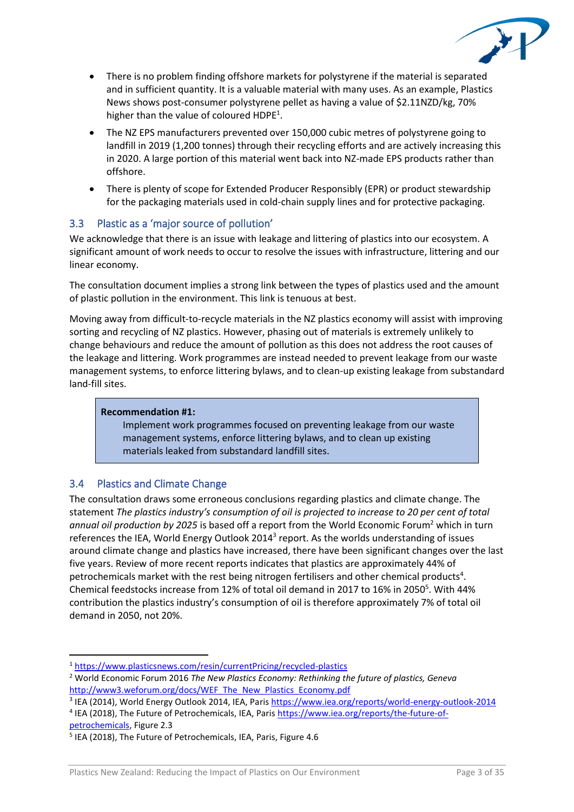

- There is no problem finding offshore markets for polystyrene if the material is separated and in sufficient quantity. It is a valuable material with many uses. As an example, Plastics News shows post-consumer polystyrene pellet as having a value of \$2.11NZD/kg, 70% higher than the value of coloured HDPE<sup>1</sup>.
- The NZ EPS manufacturers prevented over 150,000 cubic metres of polystyrene going to landfill in 2019 (1,200 tonnes) through their recycling efforts and are actively increasing this in 2020. A large portion of this material went back into NZ-made EPS products rather than offshore.
- There is plenty of scope for Extended Producer Responsibly (EPR) or product stewardship for the packaging materials used in cold-chain supply lines and for protective packaging.

## 3.3 Plastic as a 'major source of pollution'

We acknowledge that there is an issue with leakage and littering of plastics into our ecosystem. A significant amount of work needs to occur to resolve the issues with infrastructure, littering and our linear economy.

The consultation document implies a strong link between the types of plastics used and the amount of plastic pollution in the environment. This link is tenuous at best.

Moving away from difficult-to-recycle materials in the NZ plastics economy will assist with improving sorting and recycling of NZ plastics. However, phasing out of materials is extremely unlikely to change behaviours and reduce the amount of pollution as this does not address the root causes of the leakage and littering. Work programmes are instead needed to prevent leakage from our waste management systems, to enforce littering bylaws, and to clean-up existing leakage from substandard land-fill sites.

#### **Recommendation #1:**

Implement work programmes focused on preventing leakage from our waste management systems, enforce littering bylaws, and to clean up existing materials leaked from substandard landfill sites.

## 3.4 Plastics and Climate Change

The consultation draws some erroneous conclusions regarding plastics and climate change. The statement *The plastics industry's consumption of oil is projected to increase to 20 per cent of total annual oil production by 2025* is based off a report from the World Economic Forum<sup>2</sup> which in turn references the IEA, World Energy Outlook 2014<sup>3</sup> report. As the worlds understanding of issues around climate change and plastics have increased, there have been significant changes over the last five years. Review of more recent reports indicates that plastics are approximately 44% of petrochemicals market with the rest being nitrogen fertilisers and other chemical products<sup>4</sup>. Chemical feedstocks increase from 12% of total oil demand in 2017 to 16% in 2050<sup>5</sup>. With 44% contribution the plastics industry's consumption of oil is therefore approximately 7% of total oil demand in 2050, not 20%.

[petrochemicals,](https://www.iea.org/reports/the-future-of-petrochemicals) Figure 2.3

<sup>1</sup> <https://www.plasticsnews.com/resin/currentPricing/recycled-plastics>

<sup>2</sup> World Economic Forum 2016 *The New Plastics Economy: Rethinking the future of plastics, Geneva*  [http://www3.weforum.org/docs/WEF\\_The\\_New\\_Plastics\\_Economy.pdf](http://www3.weforum.org/docs/WEF_The_New_Plastics_Economy.pdf)

<sup>&</sup>lt;sup>3</sup> IEA (2014), World Energy Outlook 2014, IEA, Pari[s https://www.iea.org/reports/world-energy-outlook-2014](https://www.iea.org/reports/world-energy-outlook-2014) <sup>4</sup> IEA (2018), The Future of Petrochemicals, IEA, Paris [https://www.iea.org/reports/the-future-of-](https://www.iea.org/reports/the-future-of-petrochemicals)

<sup>5</sup> IEA (2018), The Future of Petrochemicals, IEA, Paris, Figure 4.6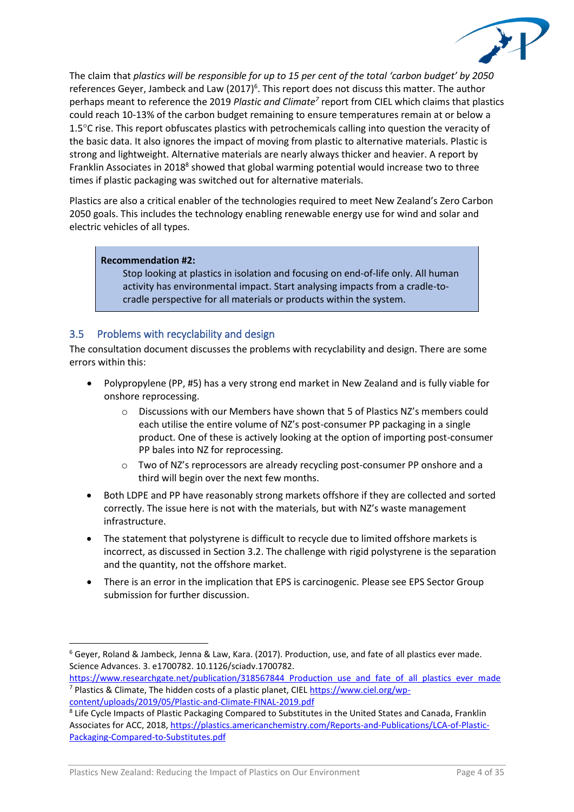

The claim that *plastics will be responsible for up to 15 per cent of the total 'carbon budget' by 2050* references Geyer, Jambeck and Law  $(2017)^6$ . This report does not discuss this matter. The author perhaps meant to reference the 2019 *Plastic and Climate<sup>7</sup>* report from CIEL which claims that plastics could reach 10-13% of the carbon budget remaining to ensure temperatures remain at or below a 1.5<sup>o</sup>C rise. This report obfuscates plastics with petrochemicals calling into question the veracity of the basic data. It also ignores the impact of moving from plastic to alternative materials. Plastic is strong and lightweight. Alternative materials are nearly always thicker and heavier. A report by Franklin Associates in 2018<sup>8</sup> showed that global warming potential would increase two to three times if plastic packaging was switched out for alternative materials.

Plastics are also a critical enabler of the technologies required to meet New Zealand's Zero Carbon 2050 goals. This includes the technology enabling renewable energy use for wind and solar and electric vehicles of all types.

#### **Recommendation #2:**

Stop looking at plastics in isolation and focusing on end-of-life only. All human activity has environmental impact. Start analysing impacts from a cradle-tocradle perspective for all materials or products within the system.

## 3.5 Problems with recyclability and design

The consultation document discusses the problems with recyclability and design. There are some errors within this:

- Polypropylene (PP, #5) has a very strong end market in New Zealand and is fully viable for onshore reprocessing.
	- o Discussions with our Members have shown that 5 of Plastics NZ's members could each utilise the entire volume of NZ's post-consumer PP packaging in a single product. One of these is actively looking at the option of importing post-consumer PP bales into NZ for reprocessing.
	- o Two of NZ's reprocessors are already recycling post-consumer PP onshore and a third will begin over the next few months.
- Both LDPE and PP have reasonably strong markets offshore if they are collected and sorted correctly. The issue here is not with the materials, but with NZ's waste management infrastructure.
- The statement that polystyrene is difficult to recycle due to limited offshore markets is incorrect, as discussed in Section 3.2. The challenge with rigid polystyrene is the separation and the quantity, not the offshore market.
- There is an error in the implication that EPS is carcinogenic. Please see EPS Sector Group submission for further discussion.

<sup>6</sup> Geyer, Roland & Jambeck, Jenna & Law, Kara. (2017). Production, use, and fate of all plastics ever made. Science Advances. 3. e1700782. 10.1126/sciadv.1700782.

https://www.researchgate.net/publication/318567844 Production use and fate of all plastics ever made <sup>7</sup> Plastics & Climate, The hidden costs of a plastic planet, CIEL [https://www.ciel.org/wp](https://www.ciel.org/wp-content/uploads/2019/05/Plastic-and-Climate-FINAL-2019.pdf)[content/uploads/2019/05/Plastic-and-Climate-FINAL-2019.pdf](https://www.ciel.org/wp-content/uploads/2019/05/Plastic-and-Climate-FINAL-2019.pdf)

<sup>&</sup>lt;sup>8</sup> Life Cycle Impacts of Plastic Packaging Compared to Substitutes in the United States and Canada, Franklin Associates for ACC, 2018, [https://plastics.americanchemistry.com/Reports-and-Publications/LCA-of-Plastic-](https://plastics.americanchemistry.com/Reports-and-Publications/LCA-of-Plastic-Packaging-Compared-to-Substitutes.pdf)[Packaging-Compared-to-Substitutes.pdf](https://plastics.americanchemistry.com/Reports-and-Publications/LCA-of-Plastic-Packaging-Compared-to-Substitutes.pdf)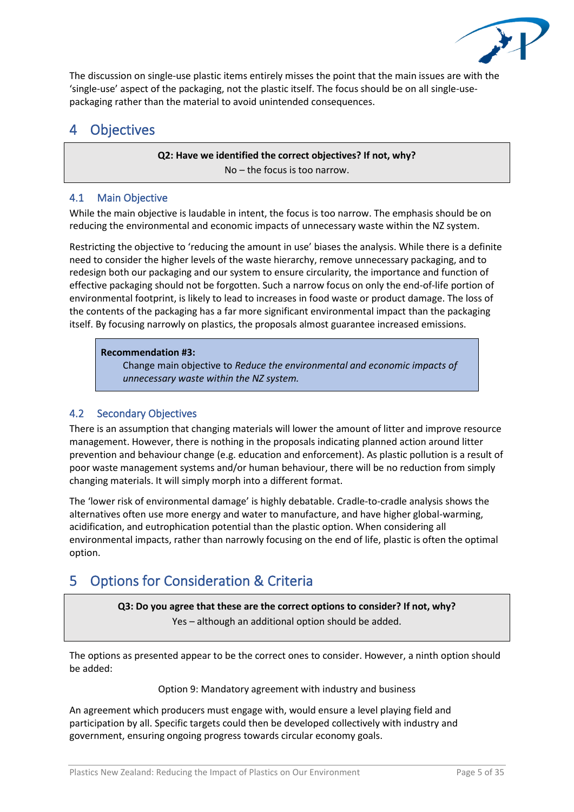

The discussion on single-use plastic items entirely misses the point that the main issues are with the 'single-use' aspect of the packaging, not the plastic itself. The focus should be on all single-usepackaging rather than the material to avoid unintended consequences.

# 4 Objectives

**Q2: Have we identified the correct objectives? If not, why?** No – the focus is too narrow.

# <span id="page-4-0"></span>4.1 Main Objective

While the main objective is laudable in intent, the focus is too narrow. The emphasis should be on reducing the environmental and economic impacts of unnecessary waste within the NZ system.

Restricting the objective to 'reducing the amount in use' biases the analysis. While there is a definite need to consider the higher levels of the waste hierarchy, remove unnecessary packaging, and to redesign both our packaging and our system to ensure circularity, the importance and function of effective packaging should not be forgotten. Such a narrow focus on only the end-of-life portion of environmental footprint, is likely to lead to increases in food waste or product damage. The loss of the contents of the packaging has a far more significant environmental impact than the packaging itself. By focusing narrowly on plastics, the proposals almost guarantee increased emissions.

### **Recommendation #3:**

Change main objective to *Reduce the environmental and economic impacts of unnecessary waste within the NZ system.*

# 4.2 Secondary Objectives

There is an assumption that changing materials will lower the amount of litter and improve resource management. However, there is nothing in the proposals indicating planned action around litter prevention and behaviour change (e.g. education and enforcement). As plastic pollution is a result of poor waste management systems and/or human behaviour, there will be no reduction from simply changing materials. It will simply morph into a different format.

The 'lower risk of environmental damage' is highly debatable. Cradle-to-cradle analysis shows the alternatives often use more energy and water to manufacture, and have higher global-warming, acidification, and eutrophication potential than the plastic option. When considering all environmental impacts, rather than narrowly focusing on the end of life, plastic is often the optimal option.

# 5 Options for Consideration & Criteria

**Q3: Do you agree that these are the correct options to consider? If not, why?** Yes – although an additional option should be added.

The options as presented appear to be the correct ones to consider. However, a ninth option should be added:

#### Option 9: Mandatory agreement with industry and business

An agreement which producers must engage with, would ensure a level playing field and participation by all. Specific targets could then be developed collectively with industry and government, ensuring ongoing progress towards circular economy goals.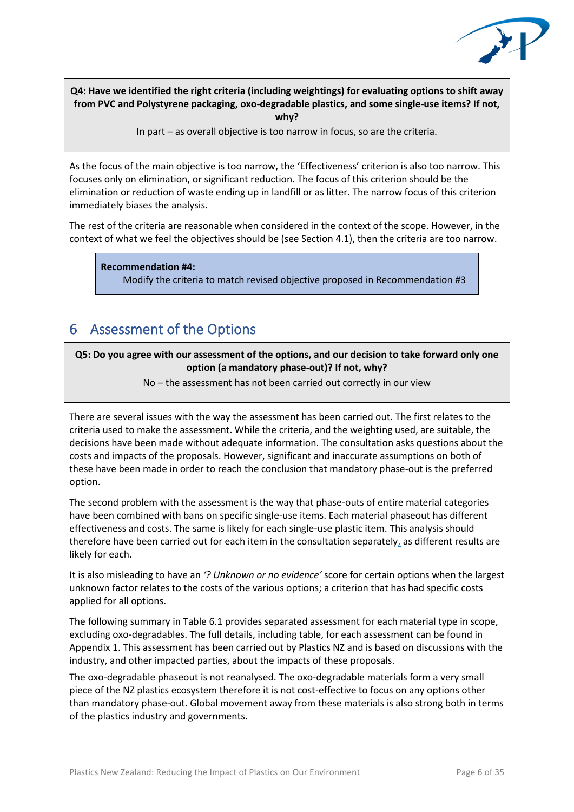

**Q4: Have we identified the right criteria (including weightings) for evaluating options to shift away from PVC and Polystyrene packaging, oxo-degradable plastics, and some single-use items? If not, why?**

In part – as overall objective is too narrow in focus, so are the criteria.

As the focus of the main objective is too narrow, the 'Effectiveness' criterion is also too narrow. This focuses only on elimination, or significant reduction. The focus of this criterion should be the elimination or reduction of waste ending up in landfill or as litter. The narrow focus of this criterion immediately biases the analysis.

The rest of the criteria are reasonable when considered in the context of the scope. However, in the context of what we feel the objectives should be (see Section [4.1\)](#page-4-0), then the criteria are too narrow.

**Recommendation #4:**

Modify the criteria to match revised objective proposed in Recommendation #3

# 6 Assessment of the Options

**Q5: Do you agree with our assessment of the options, and our decision to take forward only one option (a mandatory phase-out)? If not, why?** 

No – the assessment has not been carried out correctly in our view

There are several issues with the way the assessment has been carried out. The first relates to the criteria used to make the assessment. While the criteria, and the weighting used, are suitable, the decisions have been made without adequate information. The consultation asks questions about the costs and impacts of the proposals. However, significant and inaccurate assumptions on both of these have been made in order to reach the conclusion that mandatory phase-out is the preferred option.

The second problem with the assessment is the way that phase-outs of entire material categories have been combined with bans on specific single-use items. Each material phaseout has different effectiveness and costs. The same is likely for each single-use plastic item. This analysis should therefore have been carried out for each item in the consultation separately, as different results are likely for each.

It is also misleading to have an *'? Unknown or no evidence'* score for certain options when the largest unknown factor relates to the costs of the various options; a criterion that has had specific costs applied for all options.

The following summary in Table 6.1 provides separated assessment for each material type in scope, excluding oxo-degradables. The full details, including table, for each assessment can be found in Appendix 1. This assessment has been carried out by Plastics NZ and is based on discussions with the industry, and other impacted parties, about the impacts of these proposals.

The oxo-degradable phaseout is not reanalysed. The oxo-degradable materials form a very small piece of the NZ plastics ecosystem therefore it is not cost-effective to focus on any options other than mandatory phase-out. Global movement away from these materials is also strong both in terms of the plastics industry and governments.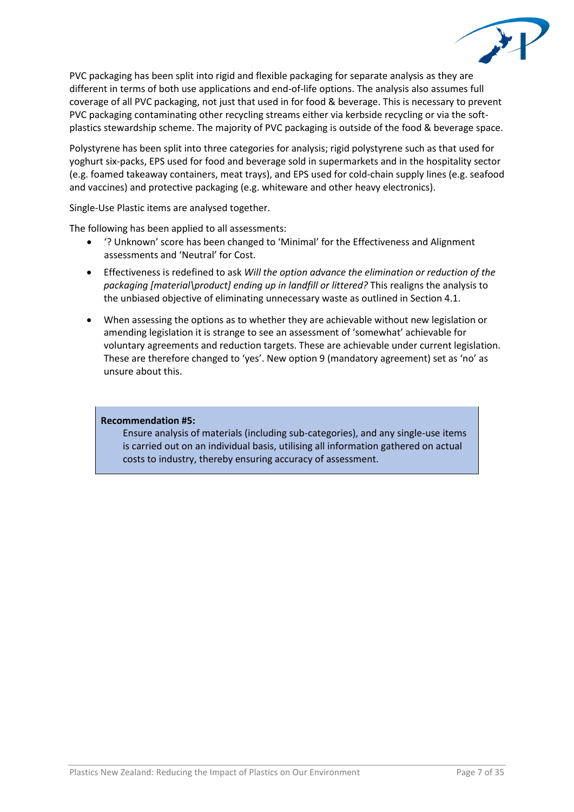

PVC packaging has been split into rigid and flexible packaging for separate analysis as they are different in terms of both use applications and end-of-life options. The analysis also assumes full coverage of all PVC packaging, not just that used in for food & beverage. This is necessary to prevent PVC packaging contaminating other recycling streams either via kerbside recycling or via the softplastics stewardship scheme. The majority of PVC packaging is outside of the food & beverage space.

Polystyrene has been split into three categories for analysis; rigid polystyrene such as that used for yoghurt six-packs, EPS used for food and beverage sold in supermarkets and in the hospitality sector (e.g. foamed takeaway containers, meat trays), and EPS used for cold-chain supply lines (e.g. seafood and vaccines) and protective packaging (e.g. whiteware and other heavy electronics).

Single-Use Plastic items are analysed together.

The following has been applied to all assessments:

- '? Unknown' score has been changed to 'Minimal' for the Effectiveness and Alignment assessments and 'Neutral' for Cost.
- Effectiveness is redefined to ask *Will the option advance the elimination or reduction of the packaging [material\product] ending up in landfill or littered?* This realigns the analysis to the unbiased objective of eliminating unnecessary waste as outlined in Section 4.1.
- When assessing the options as to whether they are achievable without new legislation or amending legislation it is strange to see an assessment of 'somewhat' achievable for voluntary agreements and reduction targets. These are achievable under current legislation. These are therefore changed to 'yes'. New option 9 (mandatory agreement) set as 'no' as unsure about this.

#### **Recommendation #5:**

Ensure analysis of materials (including sub-categories), and any single-use items is carried out on an individual basis, utilising all information gathered on actual costs to industry, thereby ensuring accuracy of assessment.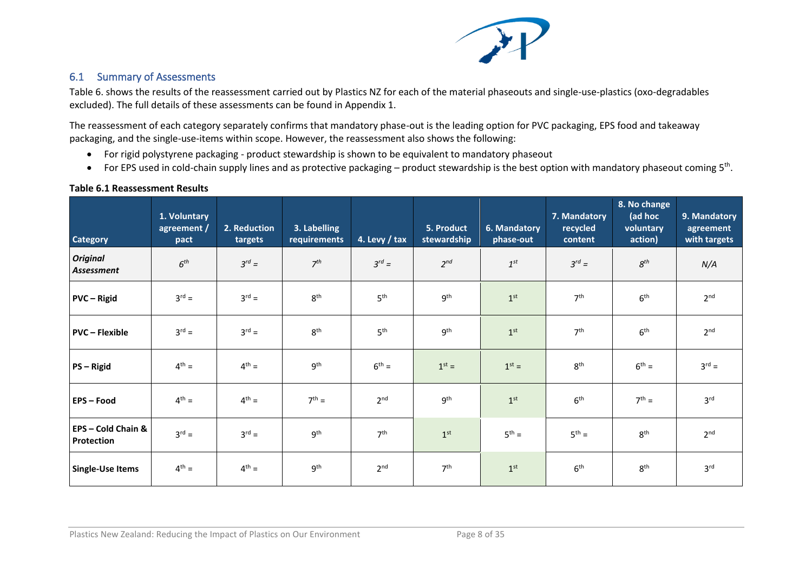

# 6.1 Summary of Assessments

Table 6. shows the results of the reassessment carried out by Plastics NZ for each of the material phaseouts and single-use-plastics (oxo-degradables excluded). The full details of these assessments can be found in Appendix 1.

The reassessment of each category separately confirms that mandatory phase-out is the leading option for PVC packaging, EPS food and takeaway packaging, and the single-use-items within scope. However, the reassessment also shows the following:

- For rigid polystyrene packaging product stewardship is shown to be equivalent to mandatory phaseout
- For EPS used in cold-chain supply lines and as protective packaging product stewardship is the best option with mandatory phaseout coming 5<sup>th</sup>.

### **Table 6.1 Reassessment Results**

| <b>Category</b>                | 1. Voluntary<br>agreement /<br>pact | 2. Reduction<br>targets | 3. Labelling<br>requirements | 4. Levy / tax   | 5. Product<br>stewardship | 6. Mandatory<br>phase-out | 7. Mandatory<br>recycled<br>content | 8. No change<br>(ad hoc<br>voluntary<br>action) | 9. Mandatory<br>agreement<br>with targets |
|--------------------------------|-------------------------------------|-------------------------|------------------------------|-----------------|---------------------------|---------------------------|-------------------------------------|-------------------------------------------------|-------------------------------------------|
| <b>Original</b><br>Assessment  | 6 <sup>th</sup>                     | $3^{rd} =$              | 7 <sup>th</sup>              | $3^{rd} =$      | $2^{nd}$                  | $1^{st}$                  | $3^{rd} =$                          | $8^{th}$                                        | N/A                                       |
| <b>PVC</b> - Rigid             | $3^{rd} =$                          | $3^{rd} =$              | 8 <sup>th</sup>              | 5 <sup>th</sup> | 9 <sup>th</sup>           | 1 <sup>st</sup>           | 7 <sup>th</sup>                     | 6 <sup>th</sup>                                 | 2 <sub>nd</sub>                           |
| <b>PVC - Flexible</b>          | $3^{rd} =$                          | $3^{rd} =$              | 8 <sup>th</sup>              | 5 <sup>th</sup> | 9 <sup>th</sup>           | 1 <sup>st</sup>           | 7 <sup>th</sup>                     | 6 <sup>th</sup>                                 | 2 <sup>nd</sup>                           |
| PS-Rigid                       | $4^{th} =$                          | $4^{th} =$              | 9 <sup>th</sup>              | $6th =$         | $1st =$                   | $1st =$                   | 8 <sup>th</sup>                     | $6th =$                                         | $3^{rd} =$                                |
| <b>EPS-Food</b>                | $4^{th} =$                          | $4^{th} =$              | $7^{th} =$                   | 2 <sup>nd</sup> | 9 <sup>th</sup>           | 1 <sup>st</sup>           | 6 <sup>th</sup>                     | $7th$ =                                         | 3 <sup>rd</sup>                           |
| EPS-Cold Chain &<br>Protection | $3^{rd} =$                          | $3^{rd} =$              | 9 <sup>th</sup>              | 7 <sup>th</sup> | 1 <sup>st</sup>           | $5^{th} =$                | $5^{th} =$                          | 8 <sup>th</sup>                                 | 2 <sup>nd</sup>                           |
| <b>Single-Use Items</b>        | $4^{th} =$                          | $4^{th} =$              | 9 <sup>th</sup>              | 2 <sup>nd</sup> | 7 <sup>th</sup>           | 1 <sup>st</sup>           | 6 <sup>th</sup>                     | 8 <sup>th</sup>                                 | 3 <sup>rd</sup>                           |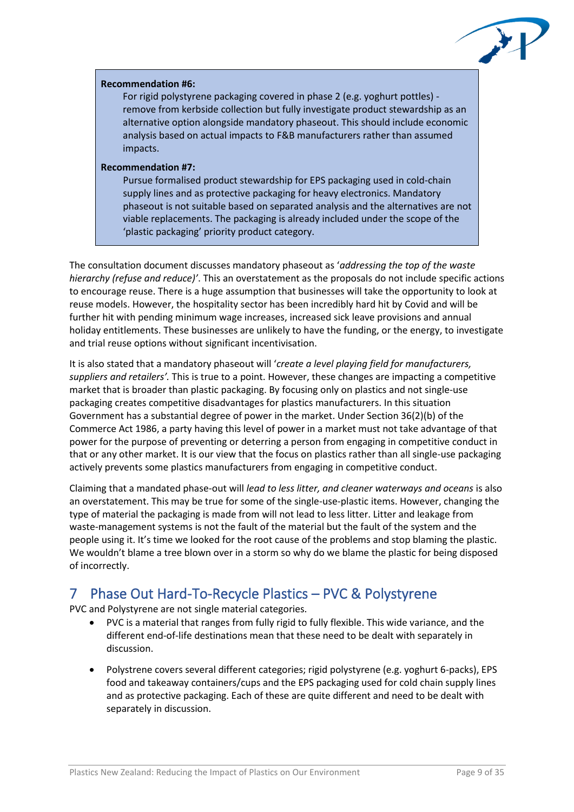

#### **Recommendation #6:**

For rigid polystyrene packaging covered in phase 2 (e.g. yoghurt pottles) remove from kerbside collection but fully investigate product stewardship as an alternative option alongside mandatory phaseout. This should include economic analysis based on actual impacts to F&B manufacturers rather than assumed impacts.

#### **Recommendation #7:**

Pursue formalised product stewardship for EPS packaging used in cold-chain supply lines and as protective packaging for heavy electronics. Mandatory phaseout is not suitable based on separated analysis and the alternatives are not viable replacements. The packaging is already included under the scope of the 'plastic packaging' priority product category.

The consultation document discusses mandatory phaseout as '*addressing the top of the waste hierarchy (refuse and reduce)'*. This an overstatement as the proposals do not include specific actions to encourage reuse. There is a huge assumption that businesses will take the opportunity to look at reuse models. However, the hospitality sector has been incredibly hard hit by Covid and will be further hit with pending minimum wage increases, increased sick leave provisions and annual holiday entitlements. These businesses are unlikely to have the funding, or the energy, to investigate and trial reuse options without significant incentivisation.

It is also stated that a mandatory phaseout will '*create a level playing field for manufacturers, suppliers and retailers'.* This is true to a point. However, these changes are impacting a competitive market that is broader than plastic packaging. By focusing only on plastics and not single-use packaging creates competitive disadvantages for plastics manufacturers. In this situation Government has a substantial degree of power in the market. Under Section 36(2)(b) of the Commerce Act 1986, a party having this level of power in a market must not take advantage of that power for the purpose of preventing or deterring a person from engaging in competitive conduct in that or any other market. It is our view that the focus on plastics rather than all single-use packaging actively prevents some plastics manufacturers from engaging in competitive conduct.

Claiming that a mandated phase-out will *lead to less litter, and cleaner waterways and oceans* is also an overstatement. This may be true for some of the single-use-plastic items. However, changing the type of material the packaging is made from will not lead to less litter. Litter and leakage from waste-management systems is not the fault of the material but the fault of the system and the people using it. It's time we looked for the root cause of the problems and stop blaming the plastic. We wouldn't blame a tree blown over in a storm so why do we blame the plastic for being disposed of incorrectly.

# 7 Phase Out Hard-To-Recycle Plastics – PVC & Polystyrene

PVC and Polystyrene are not single material categories.

- PVC is a material that ranges from fully rigid to fully flexible. This wide variance, and the different end-of-life destinations mean that these need to be dealt with separately in discussion.
- Polystrene covers several different categories; rigid polystyrene (e.g. yoghurt 6-packs), EPS food and takeaway containers/cups and the EPS packaging used for cold chain supply lines and as protective packaging. Each of these are quite different and need to be dealt with separately in discussion.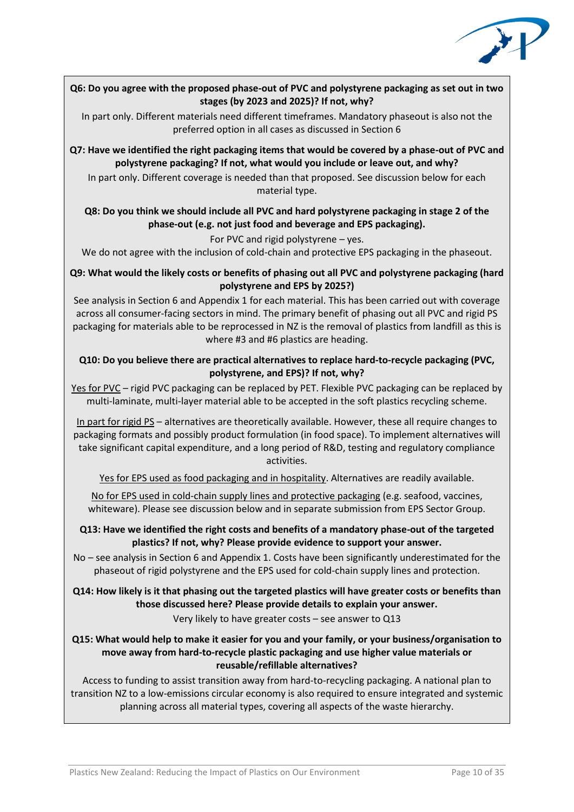

### **Q6: Do you agree with the proposed phase-out of PVC and polystyrene packaging as set out in two stages (by 2023 and 2025)? If not, why?**

In part only. Different materials need different timeframes. Mandatory phaseout is also not the preferred option in all cases as discussed in Section 6

**Q7: Have we identified the right packaging items that would be covered by a phase-out of PVC and polystyrene packaging? If not, what would you include or leave out, and why?**

In part only. Different coverage is needed than that proposed. See discussion below for each material type.

### **Q8: Do you think we should include all PVC and hard polystyrene packaging in stage 2 of the phase-out (e.g. not just food and beverage and EPS packaging).**

For PVC and rigid polystyrene – yes.

We do not agree with the inclusion of cold-chain and protective EPS packaging in the phaseout.

### **Q9: What would the likely costs or benefits of phasing out all PVC and polystyrene packaging (hard polystyrene and EPS by 2025?)**

See analysis in Section 6 and Appendix 1 for each material. This has been carried out with coverage across all consumer-facing sectors in mind. The primary benefit of phasing out all PVC and rigid PS packaging for materials able to be reprocessed in NZ is the removal of plastics from landfill as this is where #3 and #6 plastics are heading.

### **Q10: Do you believe there are practical alternatives to replace hard-to-recycle packaging (PVC, polystyrene, and EPS)? If not, why?**

Yes for PVC – rigid PVC packaging can be replaced by PET. Flexible PVC packaging can be replaced by multi-laminate, multi-layer material able to be accepted in the soft plastics recycling scheme.

In part for rigid PS – alternatives are theoretically available. However, these all require changes to packaging formats and possibly product formulation (in food space). To implement alternatives will take significant capital expenditure, and a long period of R&D, testing and regulatory compliance activities.

Yes for EPS used as food packaging and in hospitality. Alternatives are readily available.

No for EPS used in cold-chain supply lines and protective packaging (e.g. seafood, vaccines, whiteware). Please see discussion below and in separate submission from EPS Sector Group.

### **Q13: Have we identified the right costs and benefits of a mandatory phase-out of the targeted plastics? If not, why? Please provide evidence to support your answer.**

No – see analysis in Section 6 and Appendix 1. Costs have been significantly underestimated for the phaseout of rigid polystyrene and the EPS used for cold-chain supply lines and protection.

## **Q14: How likely is it that phasing out the targeted plastics will have greater costs or benefits than those discussed here? Please provide details to explain your answer.**

Very likely to have greater costs – see answer to Q13

### **Q15: What would help to make it easier for you and your family, or your business/organisation to move away from hard-to-recycle plastic packaging and use higher value materials or reusable/refillable alternatives?**

Access to funding to assist transition away from hard-to-recycling packaging. A national plan to transition NZ to a low-emissions circular economy is also required to ensure integrated and systemic planning across all material types, covering all aspects of the waste hierarchy.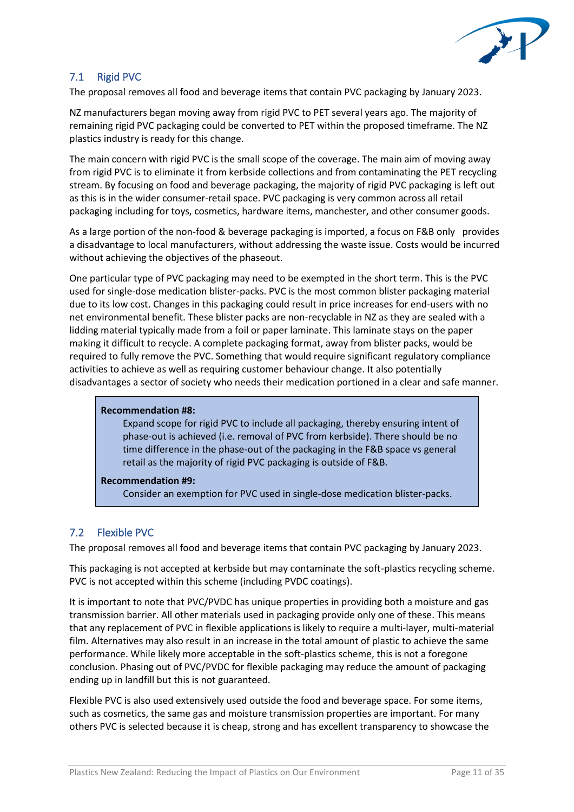

# 7.1 Rigid PVC

The proposal removes all food and beverage items that contain PVC packaging by January 2023.

NZ manufacturers began moving away from rigid PVC to PET several years ago. The majority of remaining rigid PVC packaging could be converted to PET within the proposed timeframe. The NZ plastics industry is ready for this change.

The main concern with rigid PVC is the small scope of the coverage. The main aim of moving away from rigid PVC is to eliminate it from kerbside collections and from contaminating the PET recycling stream. By focusing on food and beverage packaging, the majority of rigid PVC packaging is left out as this is in the wider consumer-retail space. PVC packaging is very common across all retail packaging including for toys, cosmetics, hardware items, manchester, and other consumer goods.

As a large portion of the non-food & beverage packaging is imported, a focus on F&B only provides a disadvantage to local manufacturers, without addressing the waste issue. Costs would be incurred without achieving the objectives of the phaseout.

One particular type of PVC packaging may need to be exempted in the short term. This is the PVC used for single-dose medication blister-packs. PVC is the most common blister packaging material due to its low cost. Changes in this packaging could result in price increases for end-users with no net environmental benefit. These blister packs are non-recyclable in NZ as they are sealed with a lidding material typically made from a foil or paper laminate. This laminate stays on the paper making it difficult to recycle. A complete packaging format, away from blister packs, would be required to fully remove the PVC. Something that would require significant regulatory compliance activities to achieve as well as requiring customer behaviour change. It also potentially disadvantages a sector of society who needs their medication portioned in a clear and safe manner.

#### **Recommendation #8:**

Expand scope for rigid PVC to include all packaging, thereby ensuring intent of phase-out is achieved (i.e. removal of PVC from kerbside). There should be no time difference in the phase-out of the packaging in the F&B space vs general retail as the majority of rigid PVC packaging is outside of F&B.

## **Recommendation #9:**

Consider an exemption for PVC used in single-dose medication blister-packs.

# 7.2 Flexible PVC

The proposal removes all food and beverage items that contain PVC packaging by January 2023.

This packaging is not accepted at kerbside but may contaminate the soft-plastics recycling scheme. PVC is not accepted within this scheme (including PVDC coatings).

It is important to note that PVC/PVDC has unique properties in providing both a moisture and gas transmission barrier. All other materials used in packaging provide only one of these. This means that any replacement of PVC in flexible applications is likely to require a multi-layer, multi-material film. Alternatives may also result in an increase in the total amount of plastic to achieve the same performance. While likely more acceptable in the soft-plastics scheme, this is not a foregone conclusion. Phasing out of PVC/PVDC for flexible packaging may reduce the amount of packaging ending up in landfill but this is not guaranteed.

Flexible PVC is also used extensively used outside the food and beverage space. For some items, such as cosmetics, the same gas and moisture transmission properties are important. For many others PVC is selected because it is cheap, strong and has excellent transparency to showcase the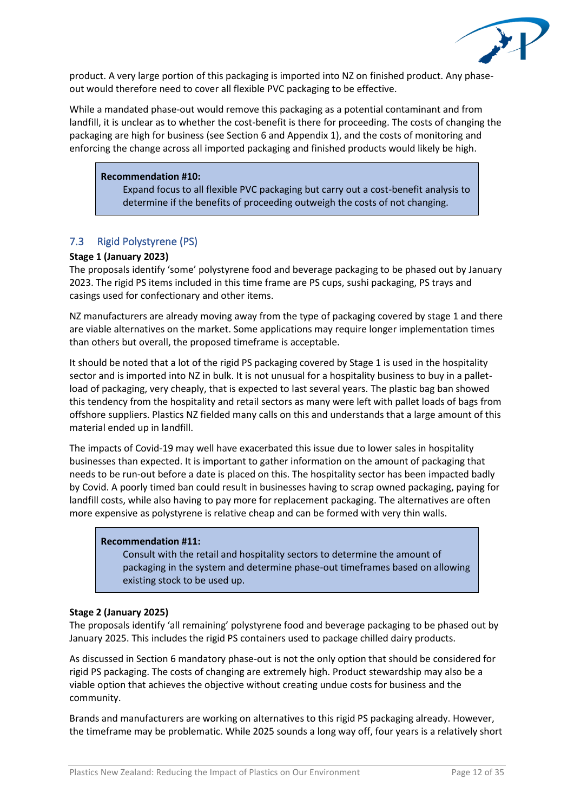

product. A very large portion of this packaging is imported into NZ on finished product. Any phaseout would therefore need to cover all flexible PVC packaging to be effective.

While a mandated phase-out would remove this packaging as a potential contaminant and from landfill, it is unclear as to whether the cost-benefit is there for proceeding. The costs of changing the packaging are high for business (see Section 6 and Appendix 1), and the costs of monitoring and enforcing the change across all imported packaging and finished products would likely be high.

#### **Recommendation #10:**

Expand focus to all flexible PVC packaging but carry out a cost-benefit analysis to determine if the benefits of proceeding outweigh the costs of not changing.

## 7.3 Rigid Polystyrene (PS)

#### **Stage 1 (January 2023)**

The proposals identify 'some' polystyrene food and beverage packaging to be phased out by January 2023. The rigid PS items included in this time frame are PS cups, sushi packaging, PS trays and casings used for confectionary and other items.

NZ manufacturers are already moving away from the type of packaging covered by stage 1 and there are viable alternatives on the market. Some applications may require longer implementation times than others but overall, the proposed timeframe is acceptable.

It should be noted that a lot of the rigid PS packaging covered by Stage 1 is used in the hospitality sector and is imported into NZ in bulk. It is not unusual for a hospitality business to buy in a palletload of packaging, very cheaply, that is expected to last several years. The plastic bag ban showed this tendency from the hospitality and retail sectors as many were left with pallet loads of bags from offshore suppliers. Plastics NZ fielded many calls on this and understands that a large amount of this material ended up in landfill.

The impacts of Covid-19 may well have exacerbated this issue due to lower sales in hospitality businesses than expected. It is important to gather information on the amount of packaging that needs to be run-out before a date is placed on this. The hospitality sector has been impacted badly by Covid. A poorly timed ban could result in businesses having to scrap owned packaging, paying for landfill costs, while also having to pay more for replacement packaging. The alternatives are often more expensive as polystyrene is relative cheap and can be formed with very thin walls.

#### **Recommendation #11:**

Consult with the retail and hospitality sectors to determine the amount of packaging in the system and determine phase-out timeframes based on allowing existing stock to be used up.

#### **Stage 2 (January 2025)**

The proposals identify 'all remaining' polystyrene food and beverage packaging to be phased out by January 2025. This includes the rigid PS containers used to package chilled dairy products.

As discussed in Section 6 mandatory phase-out is not the only option that should be considered for rigid PS packaging. The costs of changing are extremely high. Product stewardship may also be a viable option that achieves the objective without creating undue costs for business and the community.

Brands and manufacturers are working on alternatives to this rigid PS packaging already. However, the timeframe may be problematic. While 2025 sounds a long way off, four years is a relatively short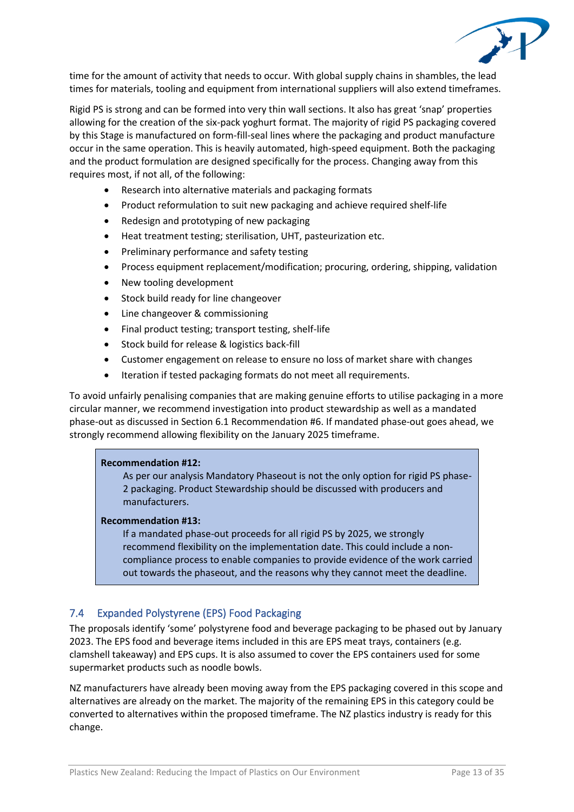

time for the amount of activity that needs to occur. With global supply chains in shambles, the lead times for materials, tooling and equipment from international suppliers will also extend timeframes.

Rigid PS is strong and can be formed into very thin wall sections. It also has great 'snap' properties allowing for the creation of the six-pack yoghurt format. The majority of rigid PS packaging covered by this Stage is manufactured on form-fill-seal lines where the packaging and product manufacture occur in the same operation. This is heavily automated, high-speed equipment. Both the packaging and the product formulation are designed specifically for the process. Changing away from this requires most, if not all, of the following:

- Research into alternative materials and packaging formats
- Product reformulation to suit new packaging and achieve required shelf-life
- Redesign and prototyping of new packaging
- Heat treatment testing; sterilisation, UHT, pasteurization etc.
- Preliminary performance and safety testing
- Process equipment replacement/modification; procuring, ordering, shipping, validation
- New tooling development
- Stock build ready for line changeover
- Line changeover & commissioning
- Final product testing; transport testing, shelf-life
- Stock build for release & logistics back-fill
- Customer engagement on release to ensure no loss of market share with changes
- Iteration if tested packaging formats do not meet all requirements.

To avoid unfairly penalising companies that are making genuine efforts to utilise packaging in a more circular manner, we recommend investigation into product stewardship as well as a mandated phase-out as discussed in Section 6.1 Recommendation #6. If mandated phase-out goes ahead, we strongly recommend allowing flexibility on the January 2025 timeframe.

#### **Recommendation #12:**

As per our analysis Mandatory Phaseout is not the only option for rigid PS phase-2 packaging. Product Stewardship should be discussed with producers and manufacturers.

#### **Recommendation #13:**

If a mandated phase-out proceeds for all rigid PS by 2025, we strongly recommend flexibility on the implementation date. This could include a noncompliance process to enable companies to provide evidence of the work carried out towards the phaseout, and the reasons why they cannot meet the deadline.

## 7.4 Expanded Polystyrene (EPS) Food Packaging

The proposals identify 'some' polystyrene food and beverage packaging to be phased out by January 2023. The EPS food and beverage items included in this are EPS meat trays, containers (e.g. clamshell takeaway) and EPS cups. It is also assumed to cover the EPS containers used for some supermarket products such as noodle bowls.

NZ manufacturers have already been moving away from the EPS packaging covered in this scope and alternatives are already on the market. The majority of the remaining EPS in this category could be converted to alternatives within the proposed timeframe. The NZ plastics industry is ready for this change.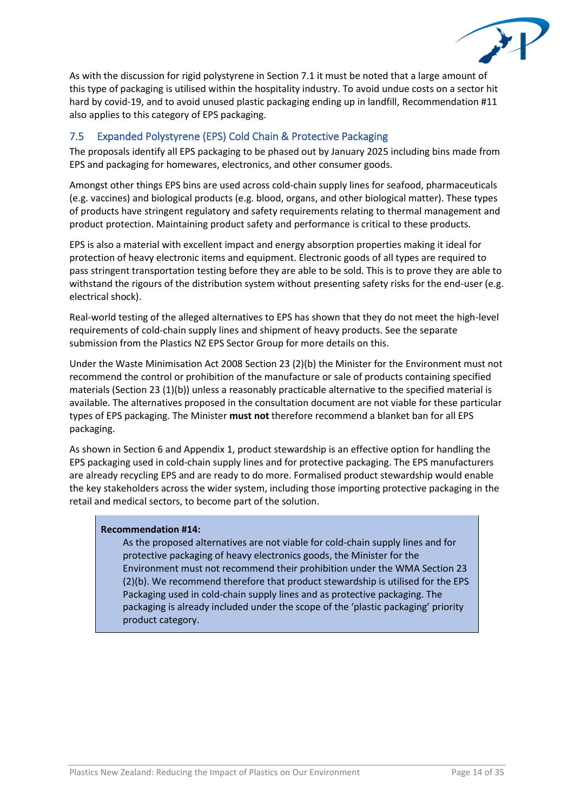

As with the discussion for rigid polystyrene in Section 7.1 it must be noted that a large amount of this type of packaging is utilised within the hospitality industry. To avoid undue costs on a sector hit hard by covid-19, and to avoid unused plastic packaging ending up in landfill, Recommendation #11 also applies to this category of EPS packaging.

# 7.5 Expanded Polystyrene (EPS) Cold Chain & Protective Packaging

The proposals identify all EPS packaging to be phased out by January 2025 including bins made from EPS and packaging for homewares, electronics, and other consumer goods.

Amongst other things EPS bins are used across cold-chain supply lines for seafood, pharmaceuticals (e.g. vaccines) and biological products (e.g. blood, organs, and other biological matter). These types of products have stringent regulatory and safety requirements relating to thermal management and product protection. Maintaining product safety and performance is critical to these products.

EPS is also a material with excellent impact and energy absorption properties making it ideal for protection of heavy electronic items and equipment. Electronic goods of all types are required to pass stringent transportation testing before they are able to be sold. This is to prove they are able to withstand the rigours of the distribution system without presenting safety risks for the end-user (e.g. electrical shock).

Real-world testing of the alleged alternatives to EPS has shown that they do not meet the high-level requirements of cold-chain supply lines and shipment of heavy products. See the separate submission from the Plastics NZ EPS Sector Group for more details on this.

Under the Waste Minimisation Act 2008 Section 23 (2)(b) the Minister for the Environment must not recommend the control or prohibition of the manufacture or sale of products containing specified materials (Section 23 (1)(b)) unless a reasonably practicable alternative to the specified material is available. The alternatives proposed in the consultation document are not viable for these particular types of EPS packaging. The Minister **must not** therefore recommend a blanket ban for all EPS packaging.

As shown in Section 6 and Appendix 1, product stewardship is an effective option for handling the EPS packaging used in cold-chain supply lines and for protective packaging. The EPS manufacturers are already recycling EPS and are ready to do more. Formalised product stewardship would enable the key stakeholders across the wider system, including those importing protective packaging in the retail and medical sectors, to become part of the solution.

#### **Recommendation #14:**

As the proposed alternatives are not viable for cold-chain supply lines and for protective packaging of heavy electronics goods, the Minister for the Environment must not recommend their prohibition under the WMA Section 23 (2)(b). We recommend therefore that product stewardship is utilised for the EPS Packaging used in cold-chain supply lines and as protective packaging. The packaging is already included under the scope of the 'plastic packaging' priority product category.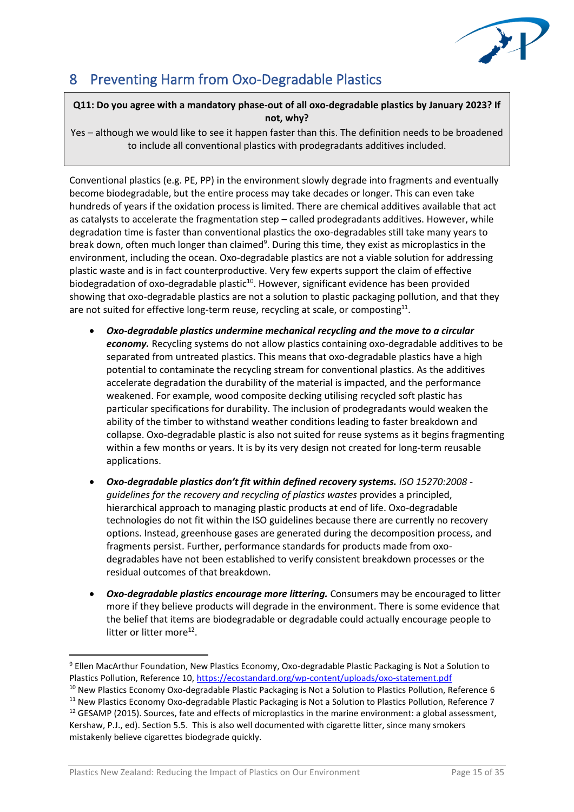

# 8 Preventing Harm from Oxo-Degradable Plastics

# **Q11: Do you agree with a mandatory phase-out of all oxo-degradable plastics by January 2023? If not, why?**

Yes – although we would like to see it happen faster than this. The definition needs to be broadened to include all conventional plastics with prodegradants additives included.

Conventional plastics (e.g. PE, PP) in the environment slowly degrade into fragments and eventually become biodegradable, but the entire process may take decades or longer. This can even take hundreds of years if the oxidation process is limited. There are chemical additives available that act as catalysts to accelerate the fragmentation step – called prodegradants additives. However, while degradation time is faster than conventional plastics the oxo-degradables still take many years to break down, often much longer than claimed<sup>9</sup>. During this time, they exist as microplastics in the environment, including the ocean. Oxo-degradable plastics are not a viable solution for addressing plastic waste and is in fact counterproductive. Very few experts support the claim of effective biodegradation of oxo-degradable plastic<sup>10</sup>. However, significant evidence has been provided showing that oxo-degradable plastics are not a solution to plastic packaging pollution, and that they are not suited for effective long-term reuse, recycling at scale, or composting $^{11}$ .

- *Oxo-degradable plastics undermine mechanical recycling and the move to a circular economy.* Recycling systems do not allow plastics containing oxo-degradable additives to be separated from untreated plastics. This means that oxo-degradable plastics have a high potential to contaminate the recycling stream for conventional plastics. As the additives accelerate degradation the durability of the material is impacted, and the performance weakened. For example, wood composite decking utilising recycled soft plastic has particular specifications for durability. The inclusion of prodegradants would weaken the ability of the timber to withstand weather conditions leading to faster breakdown and collapse. Oxo-degradable plastic is also not suited for reuse systems as it begins fragmenting within a few months or years. It is by its very design not created for long-term reusable applications.
- *Oxo-degradable plastics don't fit within defined recovery systems. ISO 15270:2008 guidelines for the recovery and recycling of plastics wastes* provides a principled, hierarchical approach to managing plastic products at end of life. Oxo-degradable technologies do not fit within the ISO guidelines because there are currently no recovery options. Instead, greenhouse gases are generated during the decomposition process, and fragments persist. Further, performance standards for products made from oxodegradables have not been established to verify consistent breakdown processes or the residual outcomes of that breakdown.
- *Oxo-degradable plastics encourage more littering.* Consumers may be encouraged to litter more if they believe products will degrade in the environment. There is some evidence that the belief that items are biodegradable or degradable could actually encourage people to litter or litter more<sup>12</sup>.

<sup>10</sup> New Plastics Economy Oxo-degradable Plastic Packaging is Not a Solution to Plastics Pollution, Reference 6

<sup>9</sup> Ellen MacArthur Foundation, New Plastics Economy, Oxo-degradable Plastic Packaging is Not a Solution to Plastics Pollution, Reference 10,<https://ecostandard.org/wp-content/uploads/oxo-statement.pdf>

<sup>&</sup>lt;sup>11</sup> New Plastics Economy Oxo-degradable Plastic Packaging is Not a Solution to Plastics Pollution, Reference 7 <sup>12</sup> GESAMP (2015). Sources, fate and effects of microplastics in the marine environment: a global assessment, Kershaw, P.J., ed). Section 5.5. This is also well documented with cigarette litter, since many smokers mistakenly believe cigarettes biodegrade quickly.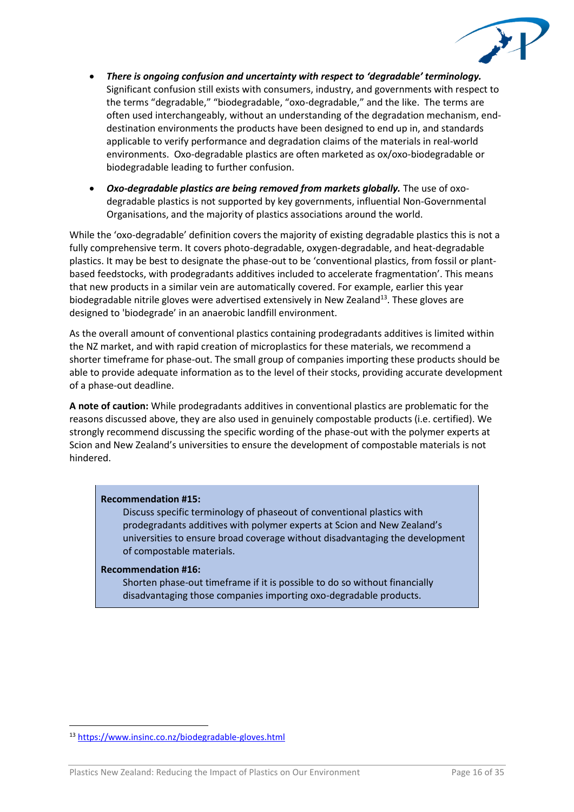

- *There is ongoing confusion and uncertainty with respect to 'degradable' terminology.* Significant confusion still exists with consumers, industry, and governments with respect to the terms "degradable," "biodegradable, "oxo-degradable," and the like. The terms are often used interchangeably, without an understanding of the degradation mechanism, enddestination environments the products have been designed to end up in, and standards applicable to verify performance and degradation claims of the materials in real-world environments. Oxo-degradable plastics are often marketed as ox/oxo-biodegradable or biodegradable leading to further confusion.
- *Oxo-degradable plastics are being removed from markets globally.* The use of oxodegradable plastics is not supported by key governments, influential Non-Governmental Organisations, and the majority of plastics associations around the world.

While the 'oxo-degradable' definition covers the majority of existing degradable plastics this is not a fully comprehensive term. It covers photo-degradable, oxygen-degradable, and heat-degradable plastics. It may be best to designate the phase-out to be 'conventional plastics, from fossil or plantbased feedstocks, with prodegradants additives included to accelerate fragmentation'. This means that new products in a similar vein are automatically covered. For example, earlier this year biodegradable nitrile gloves were advertised extensively in New Zealand<sup>13</sup>. These gloves are designed to 'biodegrade' in an anaerobic landfill environment.

As the overall amount of conventional plastics containing prodegradants additives is limited within the NZ market, and with rapid creation of microplastics for these materials, we recommend a shorter timeframe for phase-out. The small group of companies importing these products should be able to provide adequate information as to the level of their stocks, providing accurate development of a phase-out deadline.

**A note of caution:** While prodegradants additives in conventional plastics are problematic for the reasons discussed above, they are also used in genuinely compostable products (i.e. certified). We strongly recommend discussing the specific wording of the phase-out with the polymer experts at Scion and New Zealand's universities to ensure the development of compostable materials is not hindered.

#### **Recommendation #15:**

Discuss specific terminology of phaseout of conventional plastics with prodegradants additives with polymer experts at Scion and New Zealand's universities to ensure broad coverage without disadvantaging the development of compostable materials.

#### **Recommendation #16:**

Shorten phase-out timeframe if it is possible to do so without financially disadvantaging those companies importing oxo-degradable products.

<sup>13</sup> <https://www.insinc.co.nz/biodegradable-gloves.html>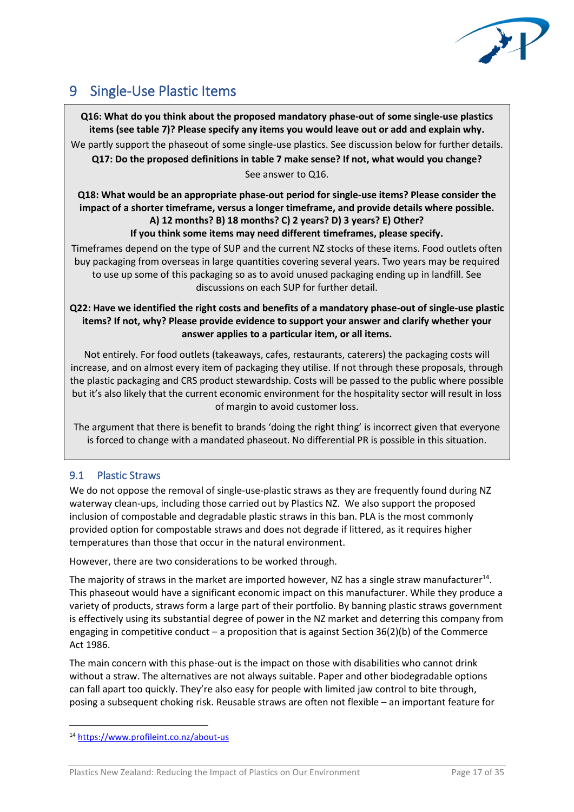

# 9 Single-Use Plastic Items

**Q16: What do you think about the proposed mandatory phase-out of some single-use plastics items (see table 7)? Please specify any items you would leave out or add and explain why.** We partly support the phaseout of some single-use plastics. See discussion below for further details. **Q17: Do the proposed definitions in table 7 make sense? If not, what would you change?** 

See answer to Q16.

# **Q18: What would be an appropriate phase-out period for single-use items? Please consider the impact of a shorter timeframe, versus a longer timeframe, and provide details where possible. A) 12 months? B) 18 months? C) 2 years? D) 3 years? E) Other? If you think some items may need different timeframes, please specify.**

Timeframes depend on the type of SUP and the current NZ stocks of these items. Food outlets often buy packaging from overseas in large quantities covering several years. Two years may be required to use up some of this packaging so as to avoid unused packaging ending up in landfill. See discussions on each SUP for further detail.

## **Q22: Have we identified the right costs and benefits of a mandatory phase-out of single-use plastic items? If not, why? Please provide evidence to support your answer and clarify whether your answer applies to a particular item, or all items.**

Not entirely. For food outlets (takeaways, cafes, restaurants, caterers) the packaging costs will increase, and on almost every item of packaging they utilise. If not through these proposals, through the plastic packaging and CRS product stewardship. Costs will be passed to the public where possible but it's also likely that the current economic environment for the hospitality sector will result in loss of margin to avoid customer loss.

The argument that there is benefit to brands 'doing the right thing' is incorrect given that everyone is forced to change with a mandated phaseout. No differential PR is possible in this situation.

# 9.1 Plastic Straws

We do not oppose the removal of single-use-plastic straws as they are frequently found during NZ waterway clean-ups, including those carried out by Plastics NZ. We also support the proposed inclusion of compostable and degradable plastic straws in this ban. PLA is the most commonly provided option for compostable straws and does not degrade if littered, as it requires higher temperatures than those that occur in the natural environment.

However, there are two considerations to be worked through.

The majority of straws in the market are imported however, NZ has a single straw manufacturer<sup>14</sup>. This phaseout would have a significant economic impact on this manufacturer. While they produce a variety of products, straws form a large part of their portfolio. By banning plastic straws government is effectively using its substantial degree of power in the NZ market and deterring this company from engaging in competitive conduct – a proposition that is against Section  $36(2)(b)$  of the Commerce Act 1986.

The main concern with this phase-out is the impact on those with disabilities who cannot drink without a straw. The alternatives are not always suitable. Paper and other biodegradable options can fall apart too quickly. They're also easy for people with limited jaw control to bite through, posing a subsequent choking risk. Reusable straws are often not flexible – an important feature for

<sup>14</sup> <https://www.profileint.co.nz/about-us>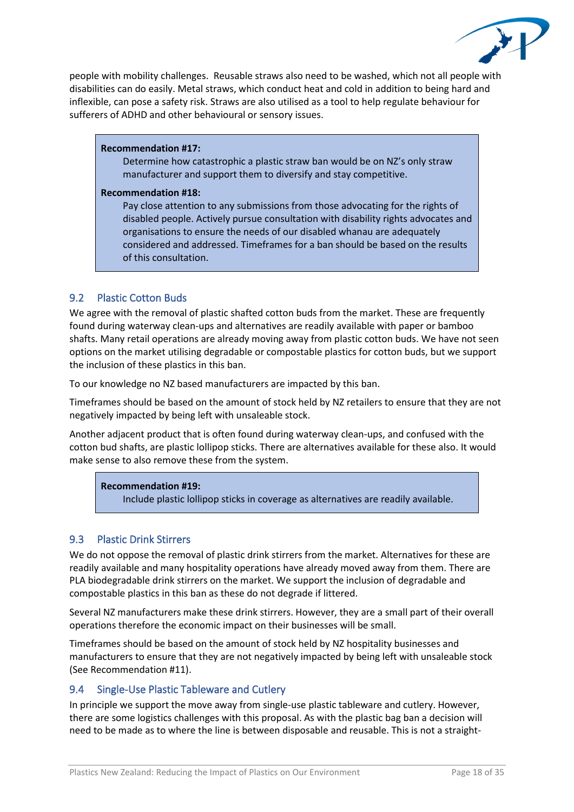

people with mobility challenges. Reusable straws also need to be washed, which not all people with disabilities can do easily. Metal straws, which conduct heat and cold in addition to being hard and inflexible, can pose a safety risk. Straws are also utilised as a tool to help regulate behaviour for sufferers of ADHD and other behavioural or sensory issues.

#### **Recommendation #17:**

Determine how catastrophic a plastic straw ban would be on NZ's only straw manufacturer and support them to diversify and stay competitive.

#### **Recommendation #18:**

Pay close attention to any submissions from those advocating for the rights of disabled people. Actively pursue consultation with disability rights advocates and organisations to ensure the needs of our disabled whanau are adequately considered and addressed. Timeframes for a ban should be based on the results of this consultation.

# 9.2 Plastic Cotton Buds

We agree with the removal of plastic shafted cotton buds from the market. These are frequently found during waterway clean-ups and alternatives are readily available with paper or bamboo shafts. Many retail operations are already moving away from plastic cotton buds. We have not seen options on the market utilising degradable or compostable plastics for cotton buds, but we support the inclusion of these plastics in this ban.

To our knowledge no NZ based manufacturers are impacted by this ban.

Timeframes should be based on the amount of stock held by NZ retailers to ensure that they are not negatively impacted by being left with unsaleable stock.

Another adjacent product that is often found during waterway clean-ups, and confused with the cotton bud shafts, are plastic lollipop sticks. There are alternatives available for these also. It would make sense to also remove these from the system.

## **Recommendation #19:**

Include plastic lollipop sticks in coverage as alternatives are readily available.

# 9.3 Plastic Drink Stirrers

We do not oppose the removal of plastic drink stirrers from the market. Alternatives for these are readily available and many hospitality operations have already moved away from them. There are PLA biodegradable drink stirrers on the market. We support the inclusion of degradable and compostable plastics in this ban as these do not degrade if littered.

Several NZ manufacturers make these drink stirrers. However, they are a small part of their overall operations therefore the economic impact on their businesses will be small.

Timeframes should be based on the amount of stock held by NZ hospitality businesses and manufacturers to ensure that they are not negatively impacted by being left with unsaleable stock (See Recommendation #11).

# 9.4 Single-Use Plastic Tableware and Cutlery

In principle we support the move away from single-use plastic tableware and cutlery. However, there are some logistics challenges with this proposal. As with the plastic bag ban a decision will need to be made as to where the line is between disposable and reusable. This is not a straight-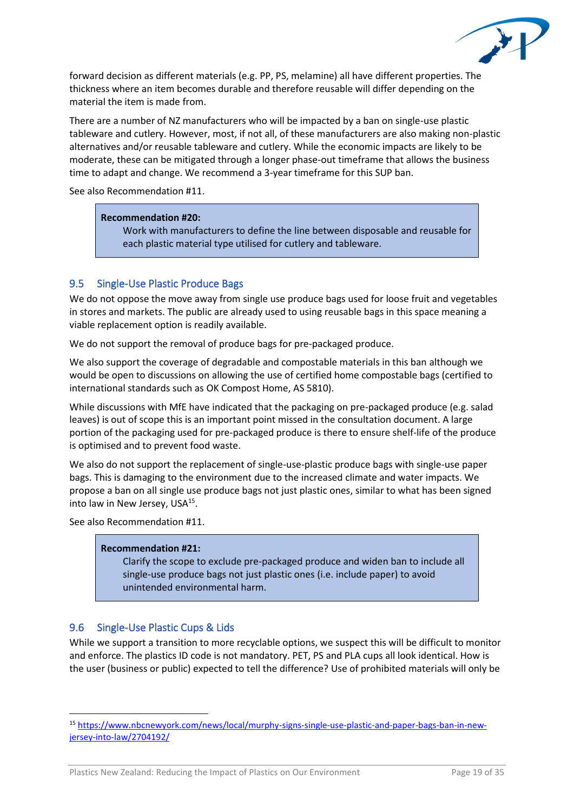

forward decision as different materials (e.g. PP, PS, melamine) all have different properties. The thickness where an item becomes durable and therefore reusable will differ depending on the material the item is made from.

There are a number of NZ manufacturers who will be impacted by a ban on single-use plastic tableware and cutlery. However, most, if not all, of these manufacturers are also making non-plastic alternatives and/or reusable tableware and cutlery. While the economic impacts are likely to be moderate, these can be mitigated through a longer phase-out timeframe that allows the business time to adapt and change. We recommend a 3-year timeframe for this SUP ban.

See also Recommendation #11.

#### **Recommendation #20:**

Work with manufacturers to define the line between disposable and reusable for each plastic material type utilised for cutlery and tableware.

### 9.5 Single-Use Plastic Produce Bags

We do not oppose the move away from single use produce bags used for loose fruit and vegetables in stores and markets. The public are already used to using reusable bags in this space meaning a viable replacement option is readily available.

We do not support the removal of produce bags for pre-packaged produce.

We also support the coverage of degradable and compostable materials in this ban although we would be open to discussions on allowing the use of certified home compostable bags (certified to international standards such as OK Compost Home, AS 5810).

While discussions with MfE have indicated that the packaging on pre-packaged produce (e.g. salad leaves) is out of scope this is an important point missed in the consultation document. A large portion of the packaging used for pre-packaged produce is there to ensure shelf-life of the produce is optimised and to prevent food waste.

We also do not support the replacement of single-use-plastic produce bags with single-use paper bags. This is damaging to the environment due to the increased climate and water impacts. We propose a ban on all single use produce bags not just plastic ones, similar to what has been signed into law in New Jersey, USA<sup>15</sup>.

See also Recommendation #11.

#### **Recommendation #21:**

Clarify the scope to exclude pre-packaged produce and widen ban to include all single-use produce bags not just plastic ones (i.e. include paper) to avoid unintended environmental harm.

## 9.6 Single-Use Plastic Cups & Lids

While we support a transition to more recyclable options, we suspect this will be difficult to monitor and enforce. The plastics ID code is not mandatory. PET, PS and PLA cups all look identical. How is the user (business or public) expected to tell the difference? Use of prohibited materials will only be

<sup>15</sup> [https://www.nbcnewyork.com/news/local/murphy-signs-single-use-plastic-and-paper-bags-ban-in-new](https://www.nbcnewyork.com/news/local/murphy-signs-single-use-plastic-and-paper-bags-ban-in-new-jersey-into-law/2704192/)[jersey-into-law/2704192/](https://www.nbcnewyork.com/news/local/murphy-signs-single-use-plastic-and-paper-bags-ban-in-new-jersey-into-law/2704192/)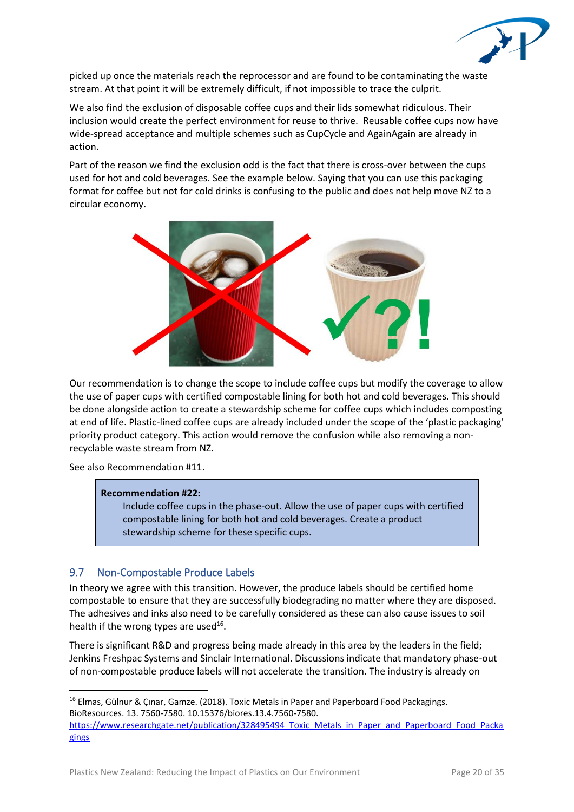

picked up once the materials reach the reprocessor and are found to be contaminating the waste stream. At that point it will be extremely difficult, if not impossible to trace the culprit.

We also find the exclusion of disposable coffee cups and their lids somewhat ridiculous. Their inclusion would create the perfect environment for reuse to thrive. Reusable coffee cups now have wide-spread acceptance and multiple schemes such as CupCycle and AgainAgain are already in action.

Part of the reason we find the exclusion odd is the fact that there is cross-over between the cups used for hot and cold beverages. See the example below. Saying that you can use this packaging format for coffee but not for cold drinks is confusing to the public and does not help move NZ to a circular economy.



Our recommendation is to change the scope to include coffee cups but modify the coverage to allow the use of paper cups with certified compostable lining for both hot and cold beverages. This should be done alongside action to create a stewardship scheme for coffee cups which includes composting at end of life. Plastic-lined coffee cups are already included under the scope of the 'plastic packaging' priority product category. This action would remove the confusion while also removing a nonrecyclable waste stream from NZ.

See also Recommendation #11.

#### **Recommendation #22:**

Include coffee cups in the phase-out. Allow the use of paper cups with certified compostable lining for both hot and cold beverages. Create a product stewardship scheme for these specific cups.

## 9.7 Non-Compostable Produce Labels

In theory we agree with this transition. However, the produce labels should be certified home compostable to ensure that they are successfully biodegrading no matter where they are disposed. The adhesives and inks also need to be carefully considered as these can also cause issues to soil health if the wrong types are used<sup>16</sup>.

There is significant R&D and progress being made already in this area by the leaders in the field; Jenkins Freshpac Systems and Sinclair International. Discussions indicate that mandatory phase-out of non-compostable produce labels will not accelerate the transition. The industry is already on

<sup>&</sup>lt;sup>16</sup> Elmas, Gülnur & Çınar, Gamze. (2018). Toxic Metals in Paper and Paperboard Food Packagings. BioResources. 13. 7560-7580. 10.15376/biores.13.4.7560-7580.

https://www.researchgate.net/publication/328495494 Toxic\_Metals\_in\_Paper\_and\_Paperboard\_Food\_Packa [gings](https://www.researchgate.net/publication/328495494_Toxic_Metals_in_Paper_and_Paperboard_Food_Packagings)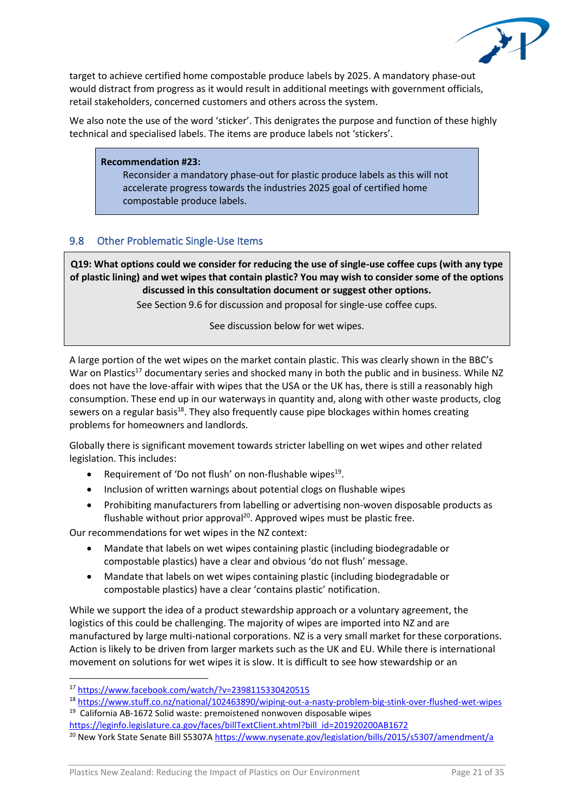

target to achieve certified home compostable produce labels by 2025. A mandatory phase-out would distract from progress as it would result in additional meetings with government officials, retail stakeholders, concerned customers and others across the system.

We also note the use of the word 'sticker'. This denigrates the purpose and function of these highly technical and specialised labels. The items are produce labels not 'stickers'.

#### **Recommendation #23:**

Reconsider a mandatory phase-out for plastic produce labels as this will not accelerate progress towards the industries 2025 goal of certified home compostable produce labels.

### 9.8 Other Problematic Single-Use Items

**Q19: What options could we consider for reducing the use of single-use coffee cups (with any type of plastic lining) and wet wipes that contain plastic? You may wish to consider some of the options discussed in this consultation document or suggest other options.** 

See Section 9.6 for discussion and proposal for single-use coffee cups.

See discussion below for wet wipes.

A large portion of the wet wipes on the market contain plastic. This was clearly shown in the BBC's War on Plastics<sup>17</sup> documentary series and shocked many in both the public and in business. While NZ does not have the love-affair with wipes that the USA or the UK has, there is still a reasonably high consumption. These end up in our waterways in quantity and, along with other waste products, clog sewers on a regular basis<sup>18</sup>. They also frequently cause pipe blockages within homes creating problems for homeowners and landlords.

Globally there is significant movement towards stricter labelling on wet wipes and other related legislation. This includes:

- Requirement of 'Do not flush' on non-flushable wipes<sup>19</sup>.
- Inclusion of written warnings about potential clogs on flushable wipes
- Prohibiting manufacturers from labelling or advertising non-woven disposable products as flushable without prior approval<sup>20</sup>. Approved wipes must be plastic free.

Our recommendations for wet wipes in the NZ context:

- Mandate that labels on wet wipes containing plastic (including biodegradable or compostable plastics) have a clear and obvious 'do not flush' message.
- Mandate that labels on wet wipes containing plastic (including biodegradable or compostable plastics) have a clear 'contains plastic' notification.

While we support the idea of a product stewardship approach or a voluntary agreement, the logistics of this could be challenging. The majority of wipes are imported into NZ and are manufactured by large multi-national corporations. NZ is a very small market for these corporations. Action is likely to be driven from larger markets such as the UK and EU. While there is international movement on solutions for wet wipes it is slow. It is difficult to see how stewardship or an

<sup>17</sup> <https://www.facebook.com/watch/?v=2398115330420515>

<sup>18</sup> <https://www.stuff.co.nz/national/102463890/wiping-out-a-nasty-problem-big-stink-over-flushed-wet-wipes> <sup>19</sup> California AB-1672 Solid waste: premoistened nonwoven disposable wipes

[https://leginfo.legislature.ca.gov/faces/billTextClient.xhtml?bill\\_id=201920200AB1672](https://leginfo.legislature.ca.gov/faces/billTextClient.xhtml?bill_id=201920200AB1672)

<sup>&</sup>lt;sup>20</sup> New York State Senate Bill S5307A<https://www.nysenate.gov/legislation/bills/2015/s5307/amendment/a>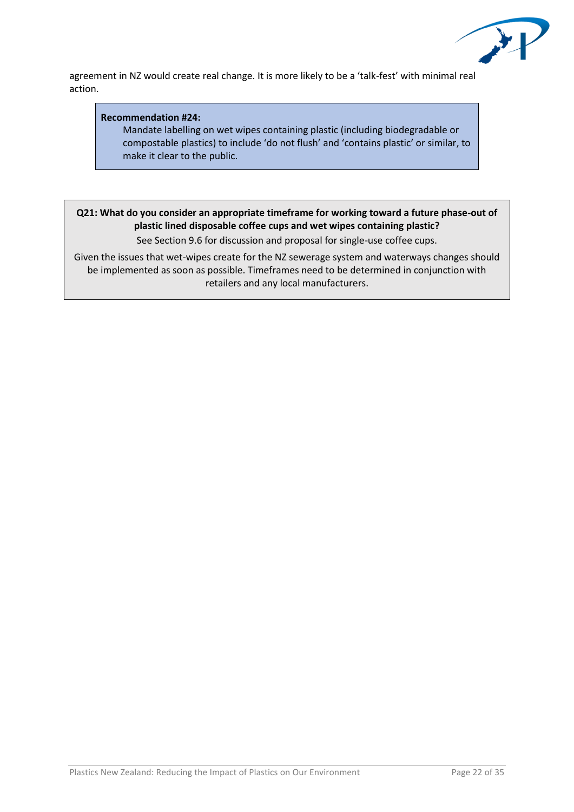

agreement in NZ would create real change. It is more likely to be a 'talk-fest' with minimal real action.

### **Recommendation #24:**

Mandate labelling on wet wipes containing plastic (including biodegradable or compostable plastics) to include 'do not flush' and 'contains plastic' or similar, to make it clear to the public.

# **Q21: What do you consider an appropriate timeframe for working toward a future phase-out of plastic lined disposable coffee cups and wet wipes containing plastic?**

See Section 9.6 for discussion and proposal for single-use coffee cups.

Given the issues that wet-wipes create for the NZ sewerage system and waterways changes should be implemented as soon as possible. Timeframes need to be determined in conjunction with retailers and any local manufacturers.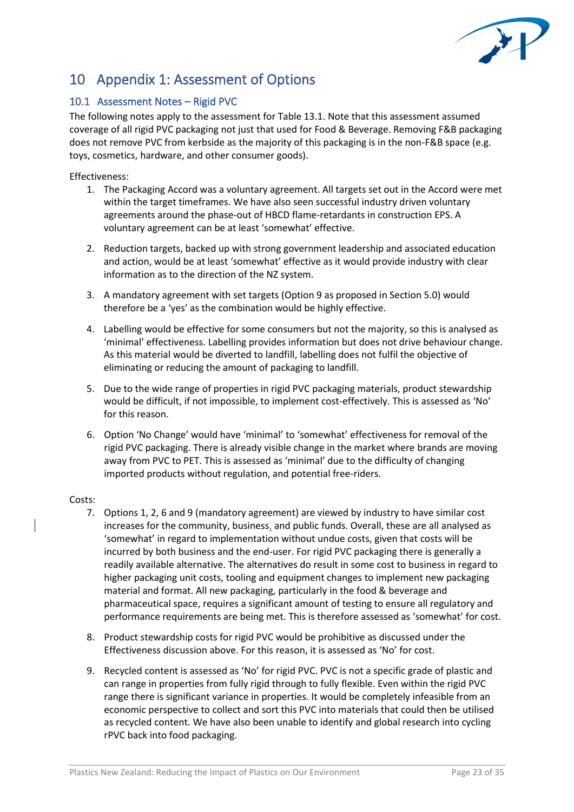

# 10 Appendix 1: Assessment of Options

# 10.1 Assessment Notes – Rigid PVC

The following notes apply to the assessment for Table 13.1. Note that this assessment assumed coverage of all rigid PVC packaging not just that used for Food & Beverage. Removing F&B packaging does not remove PVC from kerbside as the majority of this packaging is in the non-F&B space (e.g. toys, cosmetics, hardware, and other consumer goods).

#### Effectiveness:

- 1. The Packaging Accord was a voluntary agreement. All targets set out in the Accord were met within the target timeframes. We have also seen successful industry driven voluntary agreements around the phase-out of HBCD flame-retardants in construction EPS. A voluntary agreement can be at least 'somewhat' effective.
- 2. Reduction targets, backed up with strong government leadership and associated education and action, would be at least 'somewhat' effective as it would provide industry with clear information as to the direction of the NZ system.
- 3. A mandatory agreement with set targets (Option 9 as proposed in Section 5.0) would therefore be a 'yes' as the combination would be highly effective.
- 4. Labelling would be effective for some consumers but not the majority, so this is analysed as 'minimal' effectiveness. Labelling provides information but does not drive behaviour change. As this material would be diverted to landfill, labelling does not fulfil the objective of eliminating or reducing the amount of packaging to landfill.
- 5. Due to the wide range of properties in rigid PVC packaging materials, product stewardship would be difficult, if not impossible, to implement cost-effectively. This is assessed as 'No' for this reason.
- 6. Option 'No Change' would have 'minimal' to 'somewhat' effectiveness for removal of the rigid PVC packaging. There is already visible change in the market where brands are moving away from PVC to PET. This is assessed as 'minimal' due to the difficulty of changing imported products without regulation, and potential free-riders.

#### Costs:

- 7. Options 1, 2, 6 and 9 (mandatory agreement) are viewed by industry to have similar cost increases for the community, business, and public funds. Overall, these are all analysed as 'somewhat' in regard to implementation without undue costs, given that costs will be incurred by both business and the end-user. For rigid PVC packaging there is generally a readily available alternative. The alternatives do result in some cost to business in regard to higher packaging unit costs, tooling and equipment changes to implement new packaging material and format. All new packaging, particularly in the food & beverage and pharmaceutical space, requires a significant amount of testing to ensure all regulatory and performance requirements are being met. This is therefore assessed as 'somewhat' for cost.
- 8. Product stewardship costs for rigid PVC would be prohibitive as discussed under the Effectiveness discussion above. For this reason, it is assessed as 'No' for cost.
- 9. Recycled content is assessed as 'No' for rigid PVC. PVC is not a specific grade of plastic and can range in properties from fully rigid through to fully flexible. Even within the rigid PVC range there is significant variance in properties. It would be completely infeasible from an economic perspective to collect and sort this PVC into materials that could then be utilised as recycled content. We have also been unable to identify and global research into cycling rPVC back into food packaging.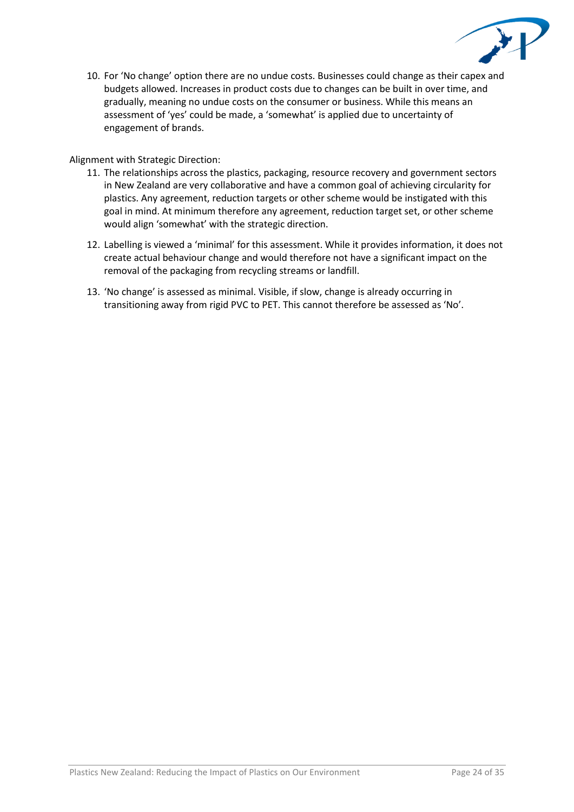

10. For 'No change' option there are no undue costs. Businesses could change as their capex and budgets allowed. Increases in product costs due to changes can be built in over time, and gradually, meaning no undue costs on the consumer or business. While this means an assessment of 'yes' could be made, a 'somewhat' is applied due to uncertainty of engagement of brands.

### Alignment with Strategic Direction:

- 11. The relationships across the plastics, packaging, resource recovery and government sectors in New Zealand are very collaborative and have a common goal of achieving circularity for plastics. Any agreement, reduction targets or other scheme would be instigated with this goal in mind. At minimum therefore any agreement, reduction target set, or other scheme would align 'somewhat' with the strategic direction.
- 12. Labelling is viewed a 'minimal' for this assessment. While it provides information, it does not create actual behaviour change and would therefore not have a significant impact on the removal of the packaging from recycling streams or landfill.
- 13. 'No change' is assessed as minimal. Visible, if slow, change is already occurring in transitioning away from rigid PVC to PET. This cannot therefore be assessed as 'No'.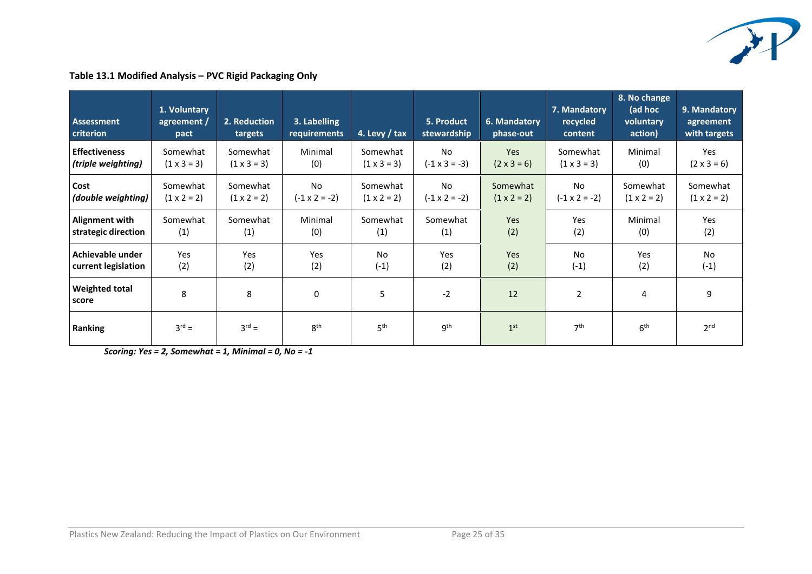

# **Table 13.1 Modified Analysis – PVC Rigid Packaging Only**

| Assessment<br>criterion        | 1. Voluntary<br>agreement /<br>pact | 2. Reduction<br>targets | 3. Labelling<br>requirements | 4. Levy / tax      | 5. Product<br>stewardship | 6. Mandatory<br>phase-out | 7. Mandatory<br>recycled<br>content | 8. No change<br>(ad hoc<br>voluntary<br>action) | 9. Mandatory<br>agreement<br>with targets |
|--------------------------------|-------------------------------------|-------------------------|------------------------------|--------------------|---------------------------|---------------------------|-------------------------------------|-------------------------------------------------|-------------------------------------------|
| <b>Effectiveness</b>           | Somewhat                            | Somewhat                | Minimal                      | Somewhat           | No                        | <b>Yes</b>                | Somewhat                            | Minimal                                         | Yes                                       |
| (triple weighting)             | $(1 \times 3 = 3)$                  | $(1 \times 3 = 3)$      | (0)                          | $(1 \times 3 = 3)$ | $(-1 \times 3 = -3)$      | $(2 \times 3 = 6)$        | $(1 \times 3 = 3)$                  | (0)                                             | $(2 \times 3 = 6)$                        |
| Cost                           | Somewhat                            | Somewhat                | <b>No</b>                    | Somewhat           | No                        | Somewhat                  | <b>No</b>                           | Somewhat                                        | Somewhat                                  |
| (double weighting)             | $(1 \times 2 = 2)$                  | $(1 \times 2 = 2)$      | $(-1 \times 2 = -2)$         | $(1 \times 2 = 2)$ | $(-1 \times 2 = -2)$      | $(1 \times 2 = 2)$        | $(-1 \times 2 = -2)$                | $(1 \times 2 = 2)$                              | $(1 \times 2 = 2)$                        |
| <b>Alignment with</b>          | Somewhat                            | Somewhat                | Minimal                      | Somewhat           | Somewhat                  | <b>Yes</b>                | Yes                                 | Minimal                                         | Yes                                       |
| strategic direction            | (1)                                 | (1)                     | (0)                          | (1)                | (1)                       | (2)                       | (2)                                 | (0)                                             | (2)                                       |
| Achievable under               | Yes                                 | Yes                     | Yes                          | No                 | Yes                       | Yes                       | <b>No</b>                           | Yes                                             | No                                        |
| current legislation            | (2)                                 | (2)                     | (2)                          | $(-1)$             | (2)                       | (2)                       | $(-1)$                              | (2)                                             | $(-1)$                                    |
| <b>Weighted total</b><br>score | 8                                   | 8                       | 0                            | 5                  | $-2$                      | 12                        | $\overline{2}$                      | 4                                               | 9                                         |
| <b>Ranking</b>                 | $3^{rd} =$                          | $3^{rd} =$              | 8 <sup>th</sup>              | 5 <sup>th</sup>    | q <sup>th</sup>           | 1 <sup>st</sup>           | 7 <sup>th</sup>                     | 6 <sup>th</sup>                                 | 2 <sup>nd</sup>                           |

*Scoring: Yes = 2, Somewhat = 1, Minimal = 0, No = -1*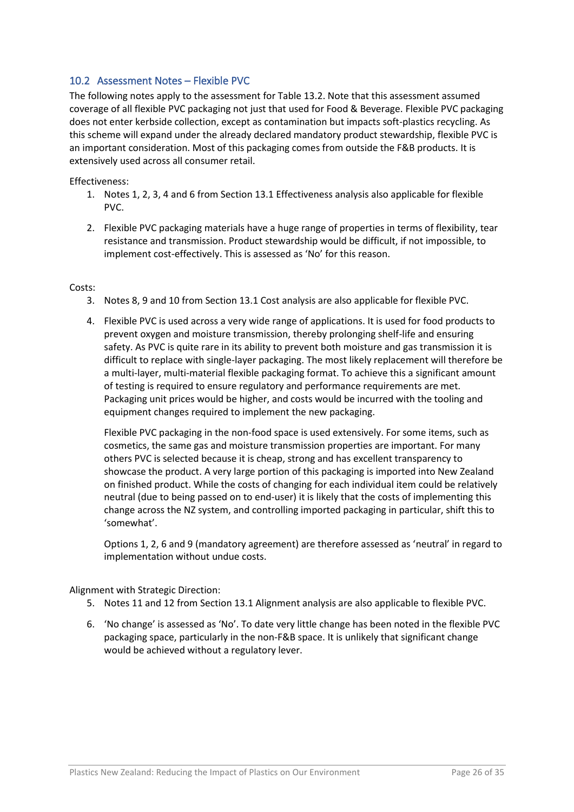# 10.2 Assessment Notes – Flexible PVC

The following notes apply to the assessment for Table 13.2. Note that this assessment assumed coverage of all flexible PVC packaging not just that used for Food & Beverage. Flexible PVC packaging does not enter kerbside collection, except as contamination but impacts soft-plastics recycling. As this scheme will expand under the already declared mandatory product stewardship, flexible PVC is an important consideration. Most of this packaging comes from outside the F&B products. It is extensively used across all consumer retail.

Effectiveness:

- 1. Notes 1, 2, 3, 4 and 6 from Section 13.1 Effectiveness analysis also applicable for flexible PVC.
- 2. Flexible PVC packaging materials have a huge range of properties in terms of flexibility, tear resistance and transmission. Product stewardship would be difficult, if not impossible, to implement cost-effectively. This is assessed as 'No' for this reason.

#### Costs:

- 3. Notes 8, 9 and 10 from Section 13.1 Cost analysis are also applicable for flexible PVC.
- 4. Flexible PVC is used across a very wide range of applications. It is used for food products to prevent oxygen and moisture transmission, thereby prolonging shelf-life and ensuring safety. As PVC is quite rare in its ability to prevent both moisture and gas transmission it is difficult to replace with single-layer packaging. The most likely replacement will therefore be a multi-layer, multi-material flexible packaging format. To achieve this a significant amount of testing is required to ensure regulatory and performance requirements are met. Packaging unit prices would be higher, and costs would be incurred with the tooling and equipment changes required to implement the new packaging.

Flexible PVC packaging in the non-food space is used extensively. For some items, such as cosmetics, the same gas and moisture transmission properties are important. For many others PVC is selected because it is cheap, strong and has excellent transparency to showcase the product. A very large portion of this packaging is imported into New Zealand on finished product. While the costs of changing for each individual item could be relatively neutral (due to being passed on to end-user) it is likely that the costs of implementing this change across the NZ system, and controlling imported packaging in particular, shift this to 'somewhat'.

Options 1, 2, 6 and 9 (mandatory agreement) are therefore assessed as 'neutral' in regard to implementation without undue costs.

Alignment with Strategic Direction:

- 5. Notes 11 and 12 from Section 13.1 Alignment analysis are also applicable to flexible PVC.
- 6. 'No change' is assessed as 'No'. To date very little change has been noted in the flexible PVC packaging space, particularly in the non-F&B space. It is unlikely that significant change would be achieved without a regulatory lever.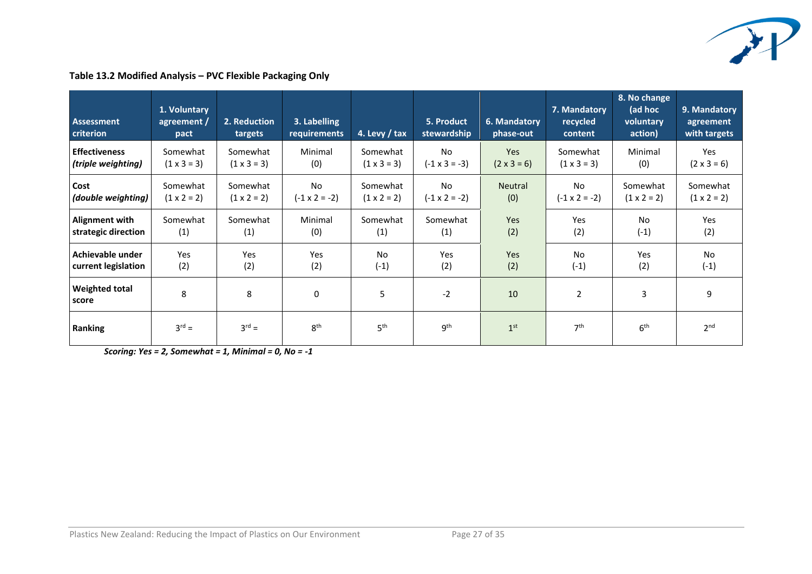

| <b>Assessment</b><br>criterion | 1. Voluntary<br>agreement /<br>pact | 2. Reduction<br>targets | 3. Labelling<br>requirements | 4. Levy / tax      | 5. Product<br>stewardship | 6. Mandatory<br>phase-out | 7. Mandatory<br>recycled<br>content | 8. No change<br>(ad hoc<br>voluntary<br>action) | 9. Mandatory<br>agreement<br>with targets |
|--------------------------------|-------------------------------------|-------------------------|------------------------------|--------------------|---------------------------|---------------------------|-------------------------------------|-------------------------------------------------|-------------------------------------------|
| <b>Effectiveness</b>           | Somewhat                            | Somewhat                | Minimal                      | Somewhat           | No.                       | <b>Yes</b>                | Somewhat                            | Minimal                                         | Yes                                       |
| (triple weighting)             | $(1 \times 3 = 3)$                  | $(1 \times 3 = 3)$      | (0)                          | $(1 \times 3 = 3)$ | $(-1 \times 3 = -3)$      | $(2 \times 3 = 6)$        | $(1 \times 3 = 3)$                  | (0)                                             | $(2 \times 3 = 6)$                        |
| Cost                           | Somewhat                            | Somewhat                | <b>No</b>                    | Somewhat           | No                        | <b>Neutral</b>            | N <sub>o</sub>                      | Somewhat                                        | Somewhat                                  |
| (double weighting)             | $(1 \times 2 = 2)$                  | $(1 \times 2 = 2)$      | $(-1 \times 2 = -2)$         | $(1 \times 2 = 2)$ | $(-1 \times 2 = -2)$      | (0)                       | $(-1 \times 2 = -2)$                | $(1 \times 2 = 2)$                              | $(1 \times 2 = 2)$                        |
| Alignment with                 | Somewhat                            | Somewhat                | Minimal                      | Somewhat           | Somewhat                  | <b>Yes</b>                | Yes                                 | No                                              | Yes                                       |
| strategic direction            | (1)                                 | (1)                     | (0)                          | (1)                | (1)                       | (2)                       | (2)                                 | $(-1)$                                          | (2)                                       |
| Achievable under               | Yes                                 | Yes                     | Yes                          | No                 | Yes                       | Yes                       | No                                  | Yes                                             | <b>No</b>                                 |
| current legislation            | (2)                                 | (2)                     | (2)                          | $(-1)$             | (2)                       | (2)                       | $(-1)$                              | (2)                                             | $(-1)$                                    |
| <b>Weighted total</b><br>score | 8                                   | 8                       | $\mathbf 0$                  | 5                  | $-2$                      | 10                        | $\overline{2}$                      | 3                                               | 9                                         |
| Ranking                        | $3^{rd} =$                          | $3^{rd} =$              | 8 <sup>th</sup>              | 5 <sup>th</sup>    | 9 <sup>th</sup>           | 1 <sup>st</sup>           | 7 <sup>th</sup>                     | 6 <sup>th</sup>                                 | 2 <sup>nd</sup>                           |

**Table 13.2 Modified Analysis – PVC Flexible Packaging Only**

*Scoring: Yes = 2, Somewhat = 1, Minimal = 0, No = -1*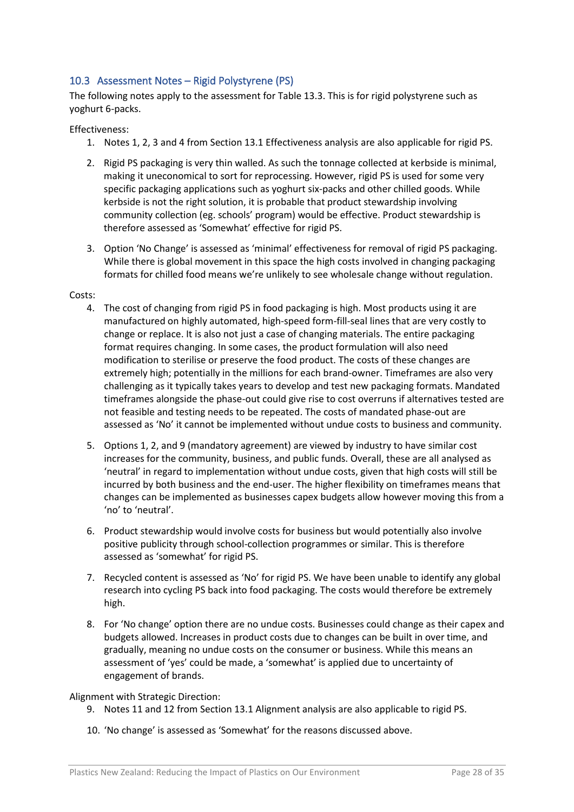# 10.3 Assessment Notes – Rigid Polystyrene (PS)

The following notes apply to the assessment for Table 13.3. This is for rigid polystyrene such as yoghurt 6-packs.

#### Effectiveness:

- 1. Notes 1, 2, 3 and 4 from Section 13.1 Effectiveness analysis are also applicable for rigid PS.
- 2. Rigid PS packaging is very thin walled. As such the tonnage collected at kerbside is minimal, making it uneconomical to sort for reprocessing. However, rigid PS is used for some very specific packaging applications such as yoghurt six-packs and other chilled goods. While kerbside is not the right solution, it is probable that product stewardship involving community collection (eg. schools' program) would be effective. Product stewardship is therefore assessed as 'Somewhat' effective for rigid PS.
- 3. Option 'No Change' is assessed as 'minimal' effectiveness for removal of rigid PS packaging. While there is global movement in this space the high costs involved in changing packaging formats for chilled food means we're unlikely to see wholesale change without regulation.

#### Costs:

- 4. The cost of changing from rigid PS in food packaging is high. Most products using it are manufactured on highly automated, high-speed form-fill-seal lines that are very costly to change or replace. It is also not just a case of changing materials. The entire packaging format requires changing. In some cases, the product formulation will also need modification to sterilise or preserve the food product. The costs of these changes are extremely high; potentially in the millions for each brand-owner. Timeframes are also very challenging as it typically takes years to develop and test new packaging formats. Mandated timeframes alongside the phase-out could give rise to cost overruns if alternatives tested are not feasible and testing needs to be repeated. The costs of mandated phase-out are assessed as 'No' it cannot be implemented without undue costs to business and community.
- 5. Options 1, 2, and 9 (mandatory agreement) are viewed by industry to have similar cost increases for the community, business, and public funds. Overall, these are all analysed as 'neutral' in regard to implementation without undue costs, given that high costs will still be incurred by both business and the end-user. The higher flexibility on timeframes means that changes can be implemented as businesses capex budgets allow however moving this from a 'no' to 'neutral'.
- 6. Product stewardship would involve costs for business but would potentially also involve positive publicity through school-collection programmes or similar. This is therefore assessed as 'somewhat' for rigid PS.
- 7. Recycled content is assessed as 'No' for rigid PS. We have been unable to identify any global research into cycling PS back into food packaging. The costs would therefore be extremely high.
- 8. For 'No change' option there are no undue costs. Businesses could change as their capex and budgets allowed. Increases in product costs due to changes can be built in over time, and gradually, meaning no undue costs on the consumer or business. While this means an assessment of 'yes' could be made, a 'somewhat' is applied due to uncertainty of engagement of brands.

#### Alignment with Strategic Direction:

- 9. Notes 11 and 12 from Section 13.1 Alignment analysis are also applicable to rigid PS.
- 10. 'No change' is assessed as 'Somewhat' for the reasons discussed above.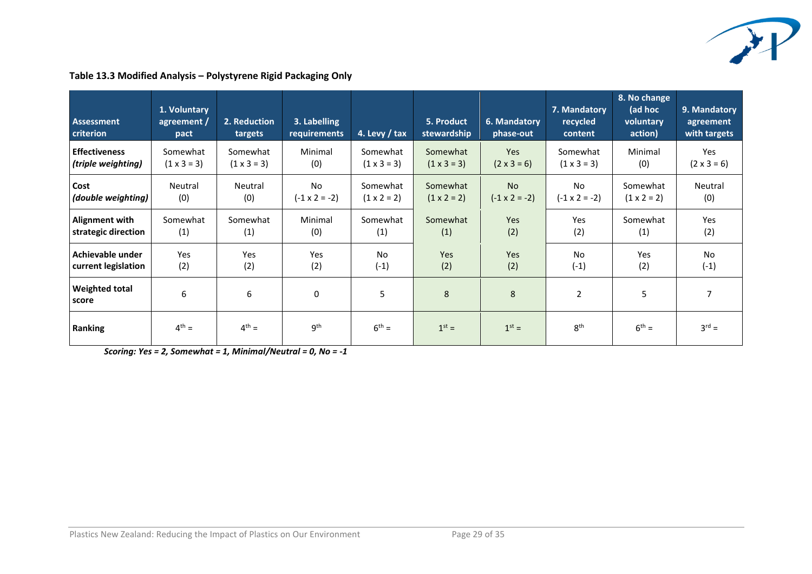

| <b>Assessment</b><br>criterion | 1. Voluntary<br>agreement /<br>pact | 2. Reduction<br>targets | 3. Labelling<br>requirements | 4. Levy / tax      | 5. Product<br>stewardship | 6. Mandatory<br>phase-out | 7. Mandatory<br>recycled<br>content | 8. No change<br>(ad hoc<br>voluntary<br>action) | 9. Mandatory<br>agreement<br>with targets |
|--------------------------------|-------------------------------------|-------------------------|------------------------------|--------------------|---------------------------|---------------------------|-------------------------------------|-------------------------------------------------|-------------------------------------------|
| <b>Effectiveness</b>           | Somewhat                            | Somewhat                | Minimal                      | Somewhat           | Somewhat                  | Yes                       | Somewhat                            | Minimal                                         | Yes                                       |
| (triple weighting)             | $(1 \times 3 = 3)$                  | $(1 \times 3 = 3)$      | (0)                          | $(1 \times 3 = 3)$ | $(1 \times 3 = 3)$        | $(2 \times 3 = 6)$        | $(1 \times 3 = 3)$                  | (0)                                             | $(2 \times 3 = 6)$                        |
| Cost                           | Neutral                             | Neutral                 | <b>No</b>                    | Somewhat           | Somewhat                  | <b>No</b>                 | No                                  | Somewhat                                        | Neutral                                   |
| (double weighting)             | (0)                                 | (0)                     | $(-1 \times 2 = -2)$         | $(1 \times 2 = 2)$ | $(1 \times 2 = 2)$        | $(-1 \times 2 = -2)$      | $(-1 \times 2 = -2)$                | $(1 \times 2 = 2)$                              | (0)                                       |
| <b>Alignment with</b>          | Somewhat                            | Somewhat                | Minimal                      | Somewhat           | Somewhat                  | Yes                       | Yes                                 | Somewhat                                        | Yes                                       |
| strategic direction            | (1)                                 | (1)                     | (0)                          | (1)                | (1)                       | (2)                       | (2)                                 | (1)                                             | (2)                                       |
| Achievable under               | Yes                                 | Yes                     | Yes                          | No                 | Yes                       | Yes                       | No                                  | Yes                                             | No                                        |
| current legislation            | (2)                                 | (2)                     | (2)                          | $(-1)$             | (2)                       | (2)                       | $(-1)$                              | (2)                                             | $(-1)$                                    |
| <b>Weighted total</b><br>score | 6                                   | 6                       | 0                            | 5                  | 8                         | 8                         | $\overline{2}$                      | 5                                               | $\overline{7}$                            |
| Ranking                        | $4^{th} =$                          | $4^{th} =$              | gth                          | $6^{th} =$         | $1st =$                   | $1st =$                   | 8 <sup>th</sup>                     | $6^{\text{th}} =$                               | $3^{\text{rd}} =$                         |

# **Table 13.3 Modified Analysis – Polystyrene Rigid Packaging Only**

*Scoring: Yes = 2, Somewhat = 1, Minimal/Neutral = 0, No = -1*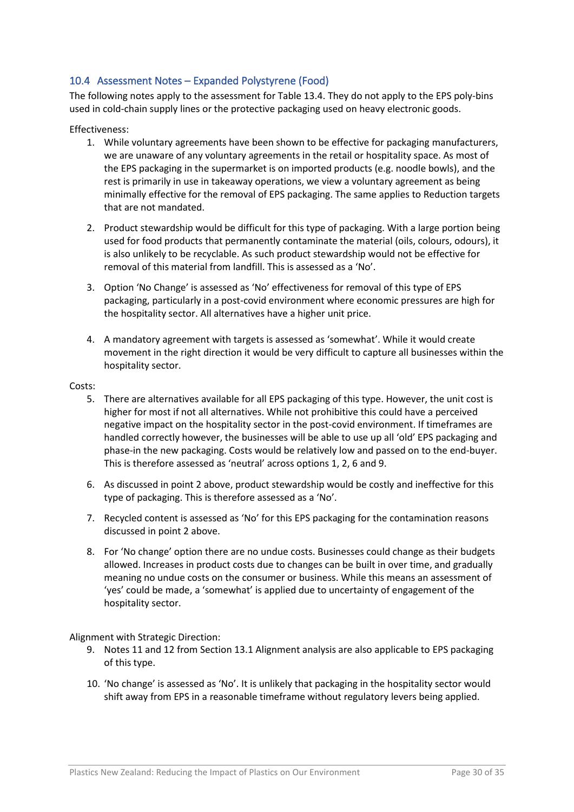# 10.4 Assessment Notes – Expanded Polystyrene (Food)

The following notes apply to the assessment for Table 13.4. They do not apply to the EPS poly-bins used in cold-chain supply lines or the protective packaging used on heavy electronic goods.

#### Effectiveness:

- 1. While voluntary agreements have been shown to be effective for packaging manufacturers, we are unaware of any voluntary agreements in the retail or hospitality space. As most of the EPS packaging in the supermarket is on imported products (e.g. noodle bowls), and the rest is primarily in use in takeaway operations, we view a voluntary agreement as being minimally effective for the removal of EPS packaging. The same applies to Reduction targets that are not mandated.
- 2. Product stewardship would be difficult for this type of packaging. With a large portion being used for food products that permanently contaminate the material (oils, colours, odours), it is also unlikely to be recyclable. As such product stewardship would not be effective for removal of this material from landfill. This is assessed as a 'No'.
- 3. Option 'No Change' is assessed as 'No' effectiveness for removal of this type of EPS packaging, particularly in a post-covid environment where economic pressures are high for the hospitality sector. All alternatives have a higher unit price.
- 4. A mandatory agreement with targets is assessed as 'somewhat'. While it would create movement in the right direction it would be very difficult to capture all businesses within the hospitality sector.

#### Costs:

- 5. There are alternatives available for all EPS packaging of this type. However, the unit cost is higher for most if not all alternatives. While not prohibitive this could have a perceived negative impact on the hospitality sector in the post-covid environment. If timeframes are handled correctly however, the businesses will be able to use up all 'old' EPS packaging and phase-in the new packaging. Costs would be relatively low and passed on to the end-buyer. This is therefore assessed as 'neutral' across options 1, 2, 6 and 9.
- 6. As discussed in point 2 above, product stewardship would be costly and ineffective for this type of packaging. This is therefore assessed as a 'No'.
- 7. Recycled content is assessed as 'No' for this EPS packaging for the contamination reasons discussed in point 2 above.
- 8. For 'No change' option there are no undue costs. Businesses could change as their budgets allowed. Increases in product costs due to changes can be built in over time, and gradually meaning no undue costs on the consumer or business. While this means an assessment of 'yes' could be made, a 'somewhat' is applied due to uncertainty of engagement of the hospitality sector.

Alignment with Strategic Direction:

- 9. Notes 11 and 12 from Section 13.1 Alignment analysis are also applicable to EPS packaging of this type.
- 10. 'No change' is assessed as 'No'. It is unlikely that packaging in the hospitality sector would shift away from EPS in a reasonable timeframe without regulatory levers being applied.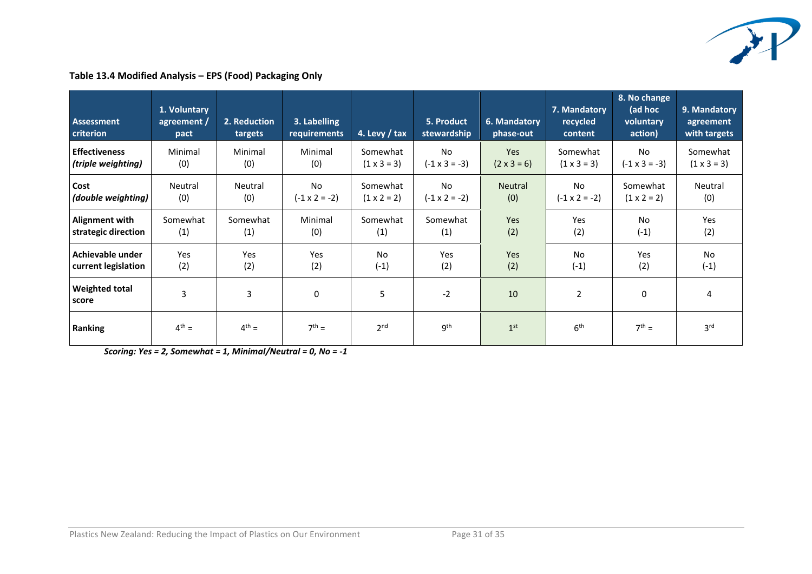

# **Table 13.4 Modified Analysis – EPS (Food) Packaging Only**

| <b>Assessment</b><br>criterion | 1. Voluntary<br>agreement /<br>pact | 2. Reduction<br>targets | 3. Labelling<br><b>requirements</b> | 4. Levy / tax      | 5. Product<br>stewardship | 6. Mandatory<br>phase-out | 7. Mandatory<br>recycled<br>content | 8. No change<br>(ad hoc<br>voluntary<br>action) | 9. Mandatory<br>agreement<br>with targets |
|--------------------------------|-------------------------------------|-------------------------|-------------------------------------|--------------------|---------------------------|---------------------------|-------------------------------------|-------------------------------------------------|-------------------------------------------|
| <b>Effectiveness</b>           | Minimal                             | Minimal                 | Minimal                             | Somewhat           | No                        | <b>Yes</b>                | Somewhat                            | <b>No</b>                                       | Somewhat                                  |
| (triple weighting)             | (0)                                 | (0)                     | (0)                                 | $(1 \times 3 = 3)$ | $(-1 \times 3 = -3)$      | $(2 \times 3 = 6)$        | $(1 \times 3 = 3)$                  | $(-1 \times 3 = -3)$                            | $(1 \times 3 = 3)$                        |
| Cost                           | Neutral                             | Neutral                 | <b>No</b>                           | Somewhat           | No                        | <b>Neutral</b>            | N <sub>o</sub>                      | Somewhat                                        | Neutral                                   |
| (double weighting)             | (0)                                 | (0)                     | $(-1 \times 2 = -2)$                | $(1 \times 2 = 2)$ | $(-1 \times 2 = -2)$      | (0)                       | $(-1 \times 2 = -2)$                | $(1 \times 2 = 2)$                              | (0)                                       |
| <b>Alignment with</b>          | Somewhat                            | Somewhat                | Minimal                             | Somewhat           | Somewhat                  | <b>Yes</b>                | Yes                                 | No                                              | Yes                                       |
| strategic direction            | (1)                                 | (1)                     | (0)                                 | (1)                | (1)                       | (2)                       | (2)                                 | $(-1)$                                          | (2)                                       |
| Achievable under               | Yes                                 | Yes                     | Yes                                 | No                 | Yes                       | Yes                       | N <sub>o</sub>                      | Yes                                             | <b>No</b>                                 |
| current legislation            | (2)                                 | (2)                     | (2)                                 | $(-1)$             | (2)                       | (2)                       | $(-1)$                              | (2)                                             | $(-1)$                                    |
| <b>Weighted total</b><br>score | 3                                   | 3                       | 0                                   | 5                  | $-2$                      | 10                        | 2                                   | 0                                               | 4                                         |
| <b>Ranking</b>                 | $4^{th} =$                          | $4^{th} =$              | $7^{th} =$                          | 2 <sup>nd</sup>    | 9 <sup>th</sup>           | 1 <sup>st</sup>           | 6 <sup>th</sup>                     | $7th$ =                                         | 3 <sup>rd</sup>                           |

*Scoring: Yes = 2, Somewhat = 1, Minimal/Neutral = 0, No = -1*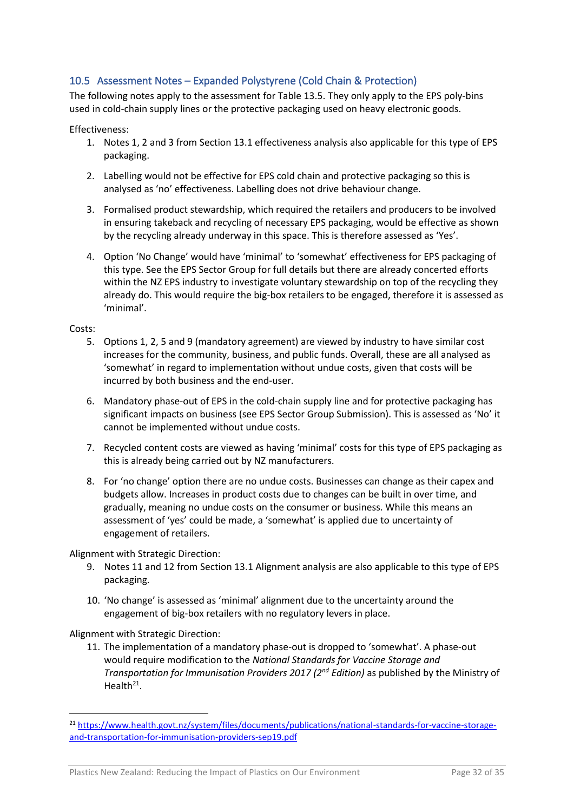# 10.5 Assessment Notes – Expanded Polystyrene (Cold Chain & Protection)

The following notes apply to the assessment for Table 13.5. They only apply to the EPS poly-bins used in cold-chain supply lines or the protective packaging used on heavy electronic goods.

#### Effectiveness:

- 1. Notes 1, 2 and 3 from Section 13.1 effectiveness analysis also applicable for this type of EPS packaging.
- 2. Labelling would not be effective for EPS cold chain and protective packaging so this is analysed as 'no' effectiveness. Labelling does not drive behaviour change.
- 3. Formalised product stewardship, which required the retailers and producers to be involved in ensuring takeback and recycling of necessary EPS packaging, would be effective as shown by the recycling already underway in this space. This is therefore assessed as 'Yes'.
- 4. Option 'No Change' would have 'minimal' to 'somewhat' effectiveness for EPS packaging of this type. See the EPS Sector Group for full details but there are already concerted efforts within the NZ EPS industry to investigate voluntary stewardship on top of the recycling they already do. This would require the big-box retailers to be engaged, therefore it is assessed as 'minimal'.

#### Costs:

- 5. Options 1, 2, 5 and 9 (mandatory agreement) are viewed by industry to have similar cost increases for the community, business, and public funds. Overall, these are all analysed as 'somewhat' in regard to implementation without undue costs, given that costs will be incurred by both business and the end-user.
- 6. Mandatory phase-out of EPS in the cold-chain supply line and for protective packaging has significant impacts on business (see EPS Sector Group Submission). This is assessed as 'No' it cannot be implemented without undue costs.
- 7. Recycled content costs are viewed as having 'minimal' costs for this type of EPS packaging as this is already being carried out by NZ manufacturers.
- 8. For 'no change' option there are no undue costs. Businesses can change as their capex and budgets allow. Increases in product costs due to changes can be built in over time, and gradually, meaning no undue costs on the consumer or business. While this means an assessment of 'yes' could be made, a 'somewhat' is applied due to uncertainty of engagement of retailers.

#### Alignment with Strategic Direction:

- 9. Notes 11 and 12 from Section 13.1 Alignment analysis are also applicable to this type of EPS packaging.
- 10. 'No change' is assessed as 'minimal' alignment due to the uncertainty around the engagement of big-box retailers with no regulatory levers in place.

#### Alignment with Strategic Direction:

11. The implementation of a mandatory phase-out is dropped to 'somewhat'. A phase-out would require modification to the *National Standards for Vaccine Storage and Transportation for Immunisation Providers 2017 (2nd Edition)* as published by the Ministry of Health $21$ .

<sup>&</sup>lt;sup>21</sup> [https://www.health.govt.nz/system/files/documents/publications/national-standards-for-vaccine-storage](https://www.health.govt.nz/system/files/documents/publications/national-standards-for-vaccine-storage-and-transportation-for-immunisation-providers-sep19.pdf)[and-transportation-for-immunisation-providers-sep19.pdf](https://www.health.govt.nz/system/files/documents/publications/national-standards-for-vaccine-storage-and-transportation-for-immunisation-providers-sep19.pdf)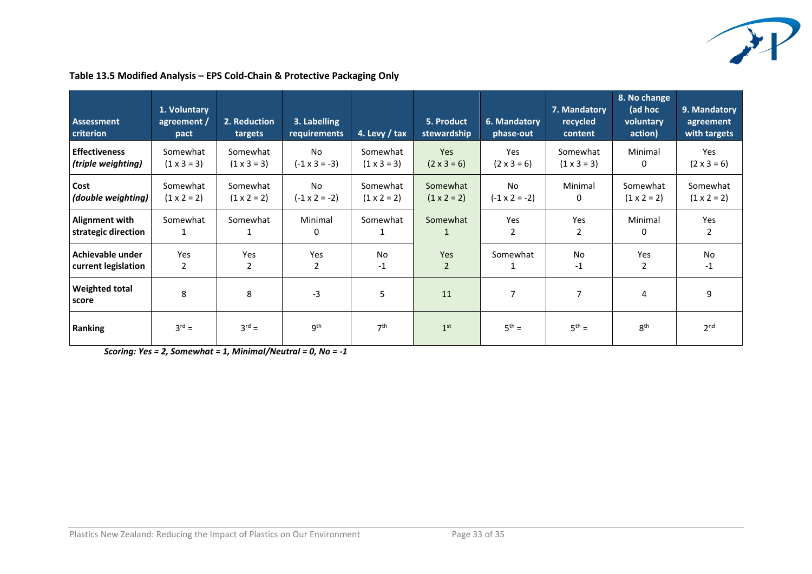

| <b>Assessment</b><br>criterion               | 1. Voluntary<br>agreement /<br>pact | 2. Reduction<br>targets        | 3. Labelling<br>requirements      | 4. Levy / tax                  | 5. Product<br>stewardship      | 6. Mandatory<br>phase-out         | 7. Mandatory<br>recycled<br>content | 8. No change<br>(ad hoc<br>voluntary<br>action) | 9. Mandatory<br>agreement<br>with targets |
|----------------------------------------------|-------------------------------------|--------------------------------|-----------------------------------|--------------------------------|--------------------------------|-----------------------------------|-------------------------------------|-------------------------------------------------|-------------------------------------------|
| <b>Effectiveness</b><br>(triple weighting)   | Somewhat<br>$(1 \times 3 = 3)$      | Somewhat<br>$(1 \times 3 = 3)$ | No<br>$(-1 \times 3 = -3)$        | Somewhat<br>$(1 \times 3 = 3)$ | Yes<br>$(2 \times 3 = 6)$      | Yes<br>$(2 \times 3 = 6)$         | Somewhat<br>$(1 \times 3 = 3)$      | Minimal<br>0                                    | Yes<br>$(2 \times 3 = 6)$                 |
| Cost<br>(double weighting)                   | Somewhat<br>$(1 \times 2 = 2)$      | Somewhat<br>$(1 \times 2 = 2)$ | <b>No</b><br>$(-1 \times 2 = -2)$ | Somewhat<br>$(1 \times 2 = 2)$ | Somewhat<br>$(1 \times 2 = 2)$ | <b>No</b><br>$(-1 \times 2 = -2)$ | Minimal<br>0                        | Somewhat<br>$(1 \times 2 = 2)$                  | Somewhat<br>$(1 \times 2 = 2)$            |
| <b>Alignment with</b><br>strategic direction | Somewhat<br>1                       | Somewhat                       | Minimal<br>0                      | Somewhat                       | Somewhat<br>$\mathbf{1}$       | Yes<br>2                          | Yes<br>2                            | Minimal<br>0                                    | Yes<br>2                                  |
| Achievable under<br>current legislation      | Yes<br>2                            | Yes<br>2                       | Yes<br>2                          | No<br>$-1$                     | Yes<br>$\overline{2}$          | Somewhat<br>1                     | No<br>$-1$                          | Yes<br>2                                        | No<br>$-1$                                |
| <b>Weighted total</b><br>score               | 8                                   | 8                              | $-3$                              | 5                              | 11                             | 7                                 |                                     | 4                                               | 9                                         |
| <b>Ranking</b>                               | $3^{rd} =$                          | $3^{rd} =$                     | 9 <sup>th</sup>                   | 7 <sup>th</sup>                | 1 <sup>st</sup>                | $5^{th} =$                        | $5^{th} =$                          | 8 <sup>th</sup>                                 | 2 <sub>nd</sub>                           |

### **Table 13.5 Modified Analysis – EPS Cold-Chain & Protective Packaging Only**

*Scoring: Yes = 2, Somewhat = 1, Minimal/Neutral = 0, No = -1*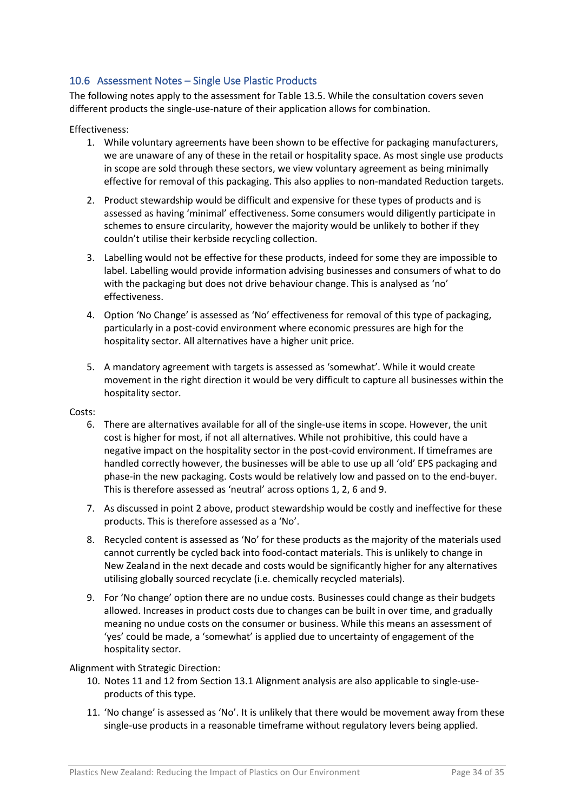# 10.6 Assessment Notes – Single Use Plastic Products

The following notes apply to the assessment for Table 13.5. While the consultation covers seven different products the single-use-nature of their application allows for combination.

#### Effectiveness:

- 1. While voluntary agreements have been shown to be effective for packaging manufacturers, we are unaware of any of these in the retail or hospitality space. As most single use products in scope are sold through these sectors, we view voluntary agreement as being minimally effective for removal of this packaging. This also applies to non-mandated Reduction targets.
- 2. Product stewardship would be difficult and expensive for these types of products and is assessed as having 'minimal' effectiveness. Some consumers would diligently participate in schemes to ensure circularity, however the majority would be unlikely to bother if they couldn't utilise their kerbside recycling collection.
- 3. Labelling would not be effective for these products, indeed for some they are impossible to label. Labelling would provide information advising businesses and consumers of what to do with the packaging but does not drive behaviour change. This is analysed as 'no' effectiveness.
- 4. Option 'No Change' is assessed as 'No' effectiveness for removal of this type of packaging, particularly in a post-covid environment where economic pressures are high for the hospitality sector. All alternatives have a higher unit price.
- 5. A mandatory agreement with targets is assessed as 'somewhat'. While it would create movement in the right direction it would be very difficult to capture all businesses within the hospitality sector.

#### Costs:

- 6. There are alternatives available for all of the single-use items in scope. However, the unit cost is higher for most, if not all alternatives. While not prohibitive, this could have a negative impact on the hospitality sector in the post-covid environment. If timeframes are handled correctly however, the businesses will be able to use up all 'old' EPS packaging and phase-in the new packaging. Costs would be relatively low and passed on to the end-buyer. This is therefore assessed as 'neutral' across options 1, 2, 6 and 9.
- 7. As discussed in point 2 above, product stewardship would be costly and ineffective for these products. This is therefore assessed as a 'No'.
- 8. Recycled content is assessed as 'No' for these products as the majority of the materials used cannot currently be cycled back into food-contact materials. This is unlikely to change in New Zealand in the next decade and costs would be significantly higher for any alternatives utilising globally sourced recyclate (i.e. chemically recycled materials).
- 9. For 'No change' option there are no undue costs. Businesses could change as their budgets allowed. Increases in product costs due to changes can be built in over time, and gradually meaning no undue costs on the consumer or business. While this means an assessment of 'yes' could be made, a 'somewhat' is applied due to uncertainty of engagement of the hospitality sector.

#### Alignment with Strategic Direction:

- 10. Notes 11 and 12 from Section 13.1 Alignment analysis are also applicable to single-useproducts of this type.
- 11. 'No change' is assessed as 'No'. It is unlikely that there would be movement away from these single-use products in a reasonable timeframe without regulatory levers being applied.